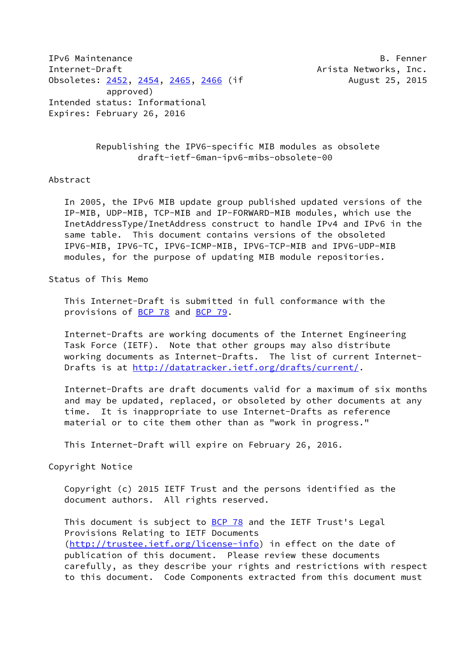IPv6 Maintenance B. Fenner Internet-Draft **Arista Networks**, Inc. Obsoletes: [2452](https://datatracker.ietf.org/doc/pdf/rfc2452), [2454](https://datatracker.ietf.org/doc/pdf/rfc2454), [2465,](https://datatracker.ietf.org/doc/pdf/rfc2465) [2466](https://datatracker.ietf.org/doc/pdf/rfc2466) (if August 25, 2015 approved) Intended status: Informational Expires: February 26, 2016

 Republishing the IPV6-specific MIB modules as obsolete draft-ietf-6man-ipv6-mibs-obsolete-00

## Abstract

 In 2005, the IPv6 MIB update group published updated versions of the IP-MIB, UDP-MIB, TCP-MIB and IP-FORWARD-MIB modules, which use the InetAddressType/InetAddress construct to handle IPv4 and IPv6 in the same table. This document contains versions of the obsoleted IPV6-MIB, IPV6-TC, IPV6-ICMP-MIB, IPV6-TCP-MIB and IPV6-UDP-MIB modules, for the purpose of updating MIB module repositories.

Status of This Memo

 This Internet-Draft is submitted in full conformance with the provisions of **BCP 78** and **BCP 79**.

 Internet-Drafts are working documents of the Internet Engineering Task Force (IETF). Note that other groups may also distribute working documents as Internet-Drafts. The list of current Internet Drafts is at<http://datatracker.ietf.org/drafts/current/>.

 Internet-Drafts are draft documents valid for a maximum of six months and may be updated, replaced, or obsoleted by other documents at any time. It is inappropriate to use Internet-Drafts as reference material or to cite them other than as "work in progress."

This Internet-Draft will expire on February 26, 2016.

Copyright Notice

 Copyright (c) 2015 IETF Trust and the persons identified as the document authors. All rights reserved.

This document is subject to **[BCP 78](https://datatracker.ietf.org/doc/pdf/bcp78)** and the IETF Trust's Legal Provisions Relating to IETF Documents [\(http://trustee.ietf.org/license-info](http://trustee.ietf.org/license-info)) in effect on the date of publication of this document. Please review these documents carefully, as they describe your rights and restrictions with respect to this document. Code Components extracted from this document must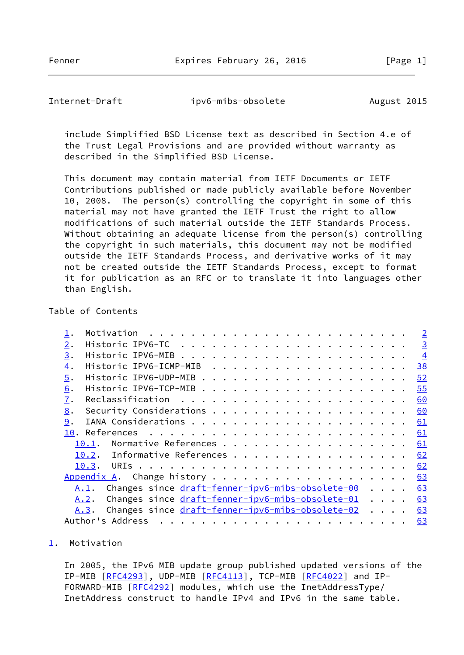Fenner Expires February 26, 2016 [Page 1]

<span id="page-1-1"></span>Internet-Draft ipv6-mibs-obsolete August 2015

 include Simplified BSD License text as described in Section 4.e of the Trust Legal Provisions and are provided without warranty as described in the Simplified BSD License.

 This document may contain material from IETF Documents or IETF Contributions published or made publicly available before November 10, 2008. The person(s) controlling the copyright in some of this material may not have granted the IETF Trust the right to allow modifications of such material outside the IETF Standards Process. Without obtaining an adequate license from the person(s) controlling the copyright in such materials, this document may not be modified outside the IETF Standards Process, and derivative works of it may not be created outside the IETF Standards Process, except to format it for publication as an RFC or to translate it into languages other than English.

## Table of Contents

|    |                              |                                                  |  |  |  |  |  |  |  |  |  |  |  | $\overline{2}$ |
|----|------------------------------|--------------------------------------------------|--|--|--|--|--|--|--|--|--|--|--|----------------|
| 2. |                              |                                                  |  |  |  |  |  |  |  |  |  |  |  | $\overline{3}$ |
| 3. |                              |                                                  |  |  |  |  |  |  |  |  |  |  |  | $\overline{4}$ |
| 4. |                              |                                                  |  |  |  |  |  |  |  |  |  |  |  | <u>38</u>      |
| 5. |                              |                                                  |  |  |  |  |  |  |  |  |  |  |  | 52             |
| 6. |                              |                                                  |  |  |  |  |  |  |  |  |  |  |  | 55             |
| 7. |                              |                                                  |  |  |  |  |  |  |  |  |  |  |  | 60             |
| 8. |                              |                                                  |  |  |  |  |  |  |  |  |  |  |  | 60             |
| 9. |                              |                                                  |  |  |  |  |  |  |  |  |  |  |  | 61             |
|    |                              |                                                  |  |  |  |  |  |  |  |  |  |  |  | 61             |
|    | 10.1.                        | Normative References                             |  |  |  |  |  |  |  |  |  |  |  | 61             |
|    | 10.2. Informative References |                                                  |  |  |  |  |  |  |  |  |  |  |  | 62             |
|    |                              |                                                  |  |  |  |  |  |  |  |  |  |  |  | 62             |
|    |                              |                                                  |  |  |  |  |  |  |  |  |  |  |  | 63             |
|    | A.1.                         | Changes since draft-fenner-ipv6-mibs-obsolete-00 |  |  |  |  |  |  |  |  |  |  |  | 63             |
|    | A.2.                         | Changes since draft-fenner-ipv6-mibs-obsolete-01 |  |  |  |  |  |  |  |  |  |  |  | 63             |
|    | A.3.                         | Changes since draft-fenner-ipv6-mibs-obsolete-02 |  |  |  |  |  |  |  |  |  |  |  | 63             |
|    | Author's Address             |                                                  |  |  |  |  |  |  |  |  |  |  |  | 63             |
|    |                              |                                                  |  |  |  |  |  |  |  |  |  |  |  |                |

## <span id="page-1-0"></span>[1](#page-1-0). Motivation

 In 2005, the IPv6 MIB update group published updated versions of the IP-MIB [\[RFC4293](https://datatracker.ietf.org/doc/pdf/rfc4293)], UDP-MIB [[RFC4113](https://datatracker.ietf.org/doc/pdf/rfc4113)], TCP-MIB [\[RFC4022](https://datatracker.ietf.org/doc/pdf/rfc4022)] and IP- FORWARD-MIB [\[RFC4292](https://datatracker.ietf.org/doc/pdf/rfc4292)] modules, which use the InetAddressType/ InetAddress construct to handle IPv4 and IPv6 in the same table.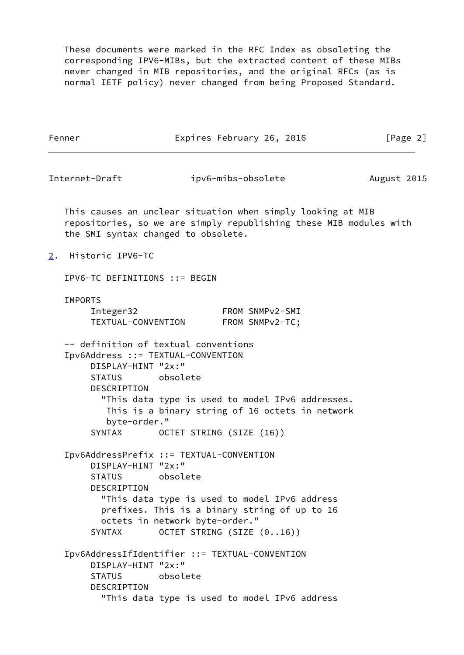These documents were marked in the RFC Index as obsoleting the corresponding IPV6-MIBs, but the extracted content of these MIBs never changed in MIB repositories, and the original RFCs (as is normal IETF policy) never changed from being Proposed Standard.

<span id="page-2-1"></span><span id="page-2-0"></span>

|                | Fenner                                                                                                                           |                                            | Expires February 26, 2016                                                                                                         | [Page 2]    |
|----------------|----------------------------------------------------------------------------------------------------------------------------------|--------------------------------------------|-----------------------------------------------------------------------------------------------------------------------------------|-------------|
| Internet-Draft |                                                                                                                                  |                                            | ipv6-mibs-obsolete                                                                                                                | August 2015 |
|                | the SMI syntax changed to obsolete.                                                                                              |                                            | This causes an unclear situation when simply looking at MIB<br>repositories, so we are simply republishing these MIB modules with |             |
| 2.             | Historic IPV6-TC                                                                                                                 |                                            |                                                                                                                                   |             |
|                | IPV6-TC DEFINITIONS ::= BEGIN                                                                                                    |                                            |                                                                                                                                   |             |
|                | <b>IMPORTS</b><br>Integer32                                                                                                      | TEXTUAL-CONVENTION                         | FROM SNMPv2-SMI<br>FROM SNMPv2-TC;                                                                                                |             |
|                | -- definition of textual conventions<br>Ipv6Address ::= TEXTUAL-CONVENTION<br>DISPLAY-HINT "2x:"<br><b>STATUS</b><br>DESCRIPTION | obsolete                                   | "This data type is used to model IPv6 addresses.<br>This is a binary string of 16 octets in network                               |             |
|                | byte-order."<br>SYNTAX                                                                                                           |                                            | OCTET STRING (SIZE (16))                                                                                                          |             |
|                | Ipv6AddressPrefix ::= TEXTUAL-CONVENTION<br>DISPLAY-HINT "2x:"<br><b>STATUS</b><br>DESCRIPTION<br><b>SYNTAX</b>                  | obsolete<br>octets in network byte-order." | "This data type is used to model IPv6 address<br>prefixes. This is a binary string of up to 16<br>OCTET STRING (SIZE (016))       |             |
|                | DISPLAY-HINT "2x:"<br><b>STATUS</b><br>DESCRIPTION                                                                               | obsolete                                   | Ipv6AddressIfIdentifier ::= TEXTUAL-CONVENTION<br>"This data type is used to model IPv6 address                                   |             |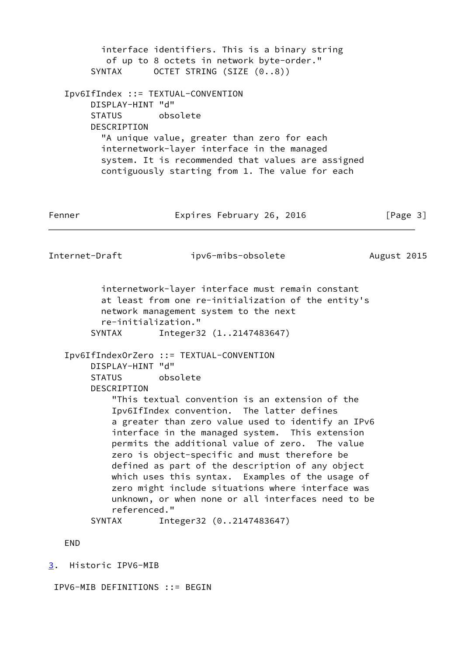<span id="page-3-1"></span> interface identifiers. This is a binary string of up to 8 octets in network byte-order." SYNTAX OCTET STRING (SIZE (0..8)) Ipv6IfIndex ::= TEXTUAL-CONVENTION DISPLAY-HINT "d" STATUS obsolete DESCRIPTION "A unique value, greater than zero for each internetwork-layer interface in the managed system. It is recommended that values are assigned contiguously starting from 1. The value for each Fenner **Expires February 26, 2016** [Page 3] Internet-Draft ipv6-mibs-obsolete August 2015 internetwork-layer interface must remain constant at least from one re-initialization of the entity's network management system to the next re-initialization." SYNTAX Integer32 (1..2147483647) Ipv6IfIndexOrZero ::= TEXTUAL-CONVENTION DISPLAY-HINT "d" STATUS obsolete DESCRIPTION "This textual convention is an extension of the Ipv6IfIndex convention. The latter defines a greater than zero value used to identify an IPv6 interface in the managed system. This extension permits the additional value of zero. The value zero is object-specific and must therefore be defined as part of the description of any object which uses this syntax. Examples of the usage of zero might include situations where interface was unknown, or when none or all interfaces need to be referenced." SYNTAX Integer32 (0..2147483647) END [3](#page-3-0). Historic IPV6-MIB

<span id="page-3-0"></span>IPV6-MIB DEFINITIONS ::= BEGIN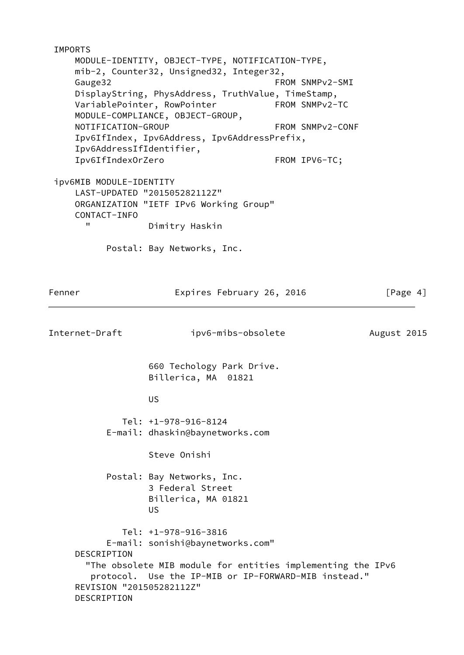IMPORTS MODULE-IDENTITY, OBJECT-TYPE, NOTIFICATION-TYPE, mib-2, Counter32, Unsigned32, Integer32, Gauge32 **FROM SNMPv2-SMI**  DisplayString, PhysAddress, TruthValue, TimeStamp, VariablePointer, RowPointer FROM SNMPv2-TC MODULE-COMPLIANCE, OBJECT-GROUP, NOTIFICATION-GROUP FROM SNMPv2-CONF Ipv6IfIndex, Ipv6Address, Ipv6AddressPrefix, Ipv6AddressIfIdentifier, Ipv6IfIndexOrZero FROM IPV6-TC; ipv6MIB MODULE-IDENTITY LAST-UPDATED "201505282112Z" ORGANIZATION "IETF IPv6 Working Group" CONTACT-INFO " Dimitry Haskin Postal: Bay Networks, Inc. Fenner Expires February 26, 2016 [Page 4] Internet-Draft ipv6-mibs-obsolete August 2015 660 Techology Park Drive. Billerica, MA 01821 US And the Contract of the US Tel: +1-978-916-8124 E-mail: dhaskin@baynetworks.com Steve Onishi Postal: Bay Networks, Inc. 3 Federal Street Billerica, MA 01821 US And the Contract of the US Tel: +1-978-916-3816 E-mail: sonishi@baynetworks.com" DESCRIPTION "The obsolete MIB module for entities implementing the IPv6 protocol. Use the IP-MIB or IP-FORWARD-MIB instead." REVISION "201505282112Z" DESCRIPTION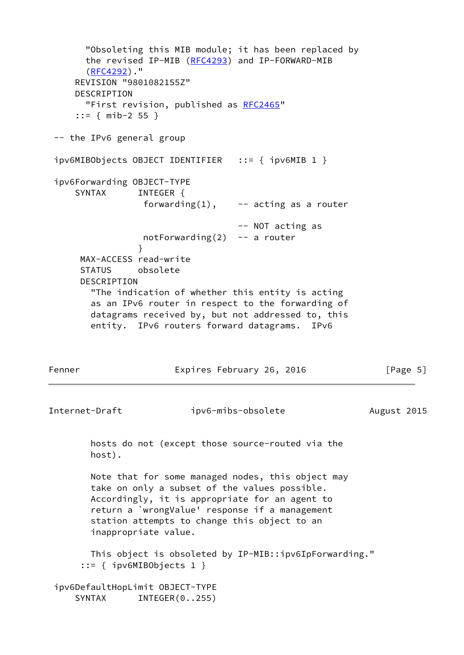"Obsoleting this MIB module; it has been replaced by the revised IP-MIB [\(RFC4293](https://datatracker.ietf.org/doc/pdf/rfc4293)) and IP-FORWARD-MIB [\(RFC4292](https://datatracker.ietf.org/doc/pdf/rfc4292))." REVISION "9801082155Z" DESCRIPTION "First revision, published as [RFC2465](https://datatracker.ietf.org/doc/pdf/rfc2465)" ::= { mib-2 55 } -- the IPv6 general group ipv6MIBObjects OBJECT IDENTIFIER ::= { ipv6MIB 1 } ipv6Forwarding OBJECT-TYPE SYNTAX INTEGER { forwarding $(1)$ , -- acting as a router -- NOT acting as notForwarding $(2)$  -- a router } MAX-ACCESS read-write STATUS obsolete DESCRIPTION "The indication of whether this entity is acting as an IPv6 router in respect to the forwarding of datagrams received by, but not addressed to, this entity. IPv6 routers forward datagrams. IPv6 Fenner **Expires February 26, 2016** [Page 5] Internet-Draft ipv6-mibs-obsolete August 2015 hosts do not (except those source-routed via the host). Note that for some managed nodes, this object may take on only a subset of the values possible. Accordingly, it is appropriate for an agent to return a `wrongValue' response if a management station attempts to change this object to an inappropriate value. This object is obsoleted by IP-MIB::ipv6IpForwarding." ::= { ipv6MIBObjects 1 } ipv6DefaultHopLimit OBJECT-TYPE SYNTAX INTEGER(0..255)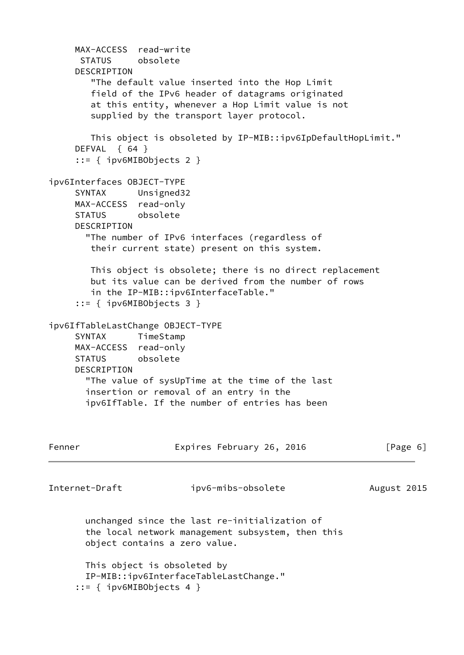```
 MAX-ACCESS read-write
      STATUS obsolete
     DESCRIPTION
        "The default value inserted into the Hop Limit
        field of the IPv6 header of datagrams originated
        at this entity, whenever a Hop Limit value is not
        supplied by the transport layer protocol.
        This object is obsoleted by IP-MIB::ipv6IpDefaultHopLimit."
     DEFVAL { 64 }
      ::= { ipv6MIBObjects 2 }
ipv6Interfaces OBJECT-TYPE
     SYNTAX Unsigned32
     MAX-ACCESS read-only
     STATUS obsolete
     DESCRIPTION
        "The number of IPv6 interfaces (regardless of
        their current state) present on this system.
        This object is obsolete; there is no direct replacement
        but its value can be derived from the number of rows
        in the IP-MIB::ipv6InterfaceTable."
      ::= { ipv6MIBObjects 3 }
ipv6IfTableLastChange OBJECT-TYPE
     SYNTAX TimeStamp
     MAX-ACCESS read-only
     STATUS obsolete
     DESCRIPTION
       "The value of sysUpTime at the time of the last
       insertion or removal of an entry in the
       ipv6IfTable. If the number of entries has been
Fenner Expires February 26, 2016 [Page 6]
Internet-Draft ipv6-mibs-obsolete August 2015
       unchanged since the last re-initialization of
       the local network management subsystem, then this
       object contains a zero value.
       This object is obsoleted by
       IP-MIB::ipv6InterfaceTableLastChange."
      ::= { ipv6MIBObjects 4 }
```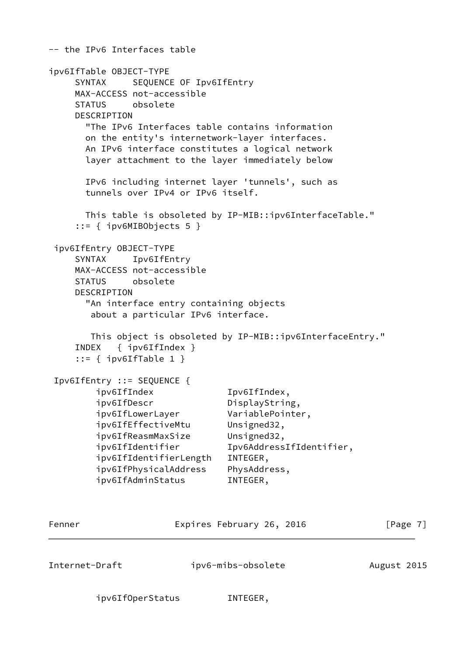-- the IPv6 Interfaces table ipv6IfTable OBJECT-TYPE SYNTAX SEQUENCE OF Ipv6IfEntry MAX-ACCESS not-accessible STATUS obsolete DESCRIPTION "The IPv6 Interfaces table contains information on the entity's internetwork-layer interfaces. An IPv6 interface constitutes a logical network layer attachment to the layer immediately below IPv6 including internet layer 'tunnels', such as tunnels over IPv4 or IPv6 itself. This table is obsoleted by IP-MIB::ipv6InterfaceTable." ::= { ipv6MIBObjects 5 } ipv6IfEntry OBJECT-TYPE SYNTAX Ipv6IfEntry MAX-ACCESS not-accessible STATUS obsolete DESCRIPTION "An interface entry containing objects about a particular IPv6 interface. This object is obsoleted by IP-MIB::ipv6InterfaceEntry." INDEX { ipv6IfIndex }  $::=$  { ipv6IfTable 1 } Ipv6IfEntry ::= SEQUENCE { ipv6IfIndex Ipv6IfIndex, ipv6IfDescr DisplayString, ipv6IfLowerLayer VariablePointer, ipv6IfEffectiveMtu Unsigned32, ipv6IfReasmMaxSize Unsigned32, ipv6IfIdentifier Ipv6AddressIfIdentifier, ipv6IfIdentifierLength INTEGER, ipv6IfPhysicalAddress PhysAddress, ipv6IfAdminStatus INTEGER, Fenner Expires February 26, 2016 [Page 7] Internet-Draft ipv6-mibs-obsolete August 2015 ipv6IfOperStatus INTEGER,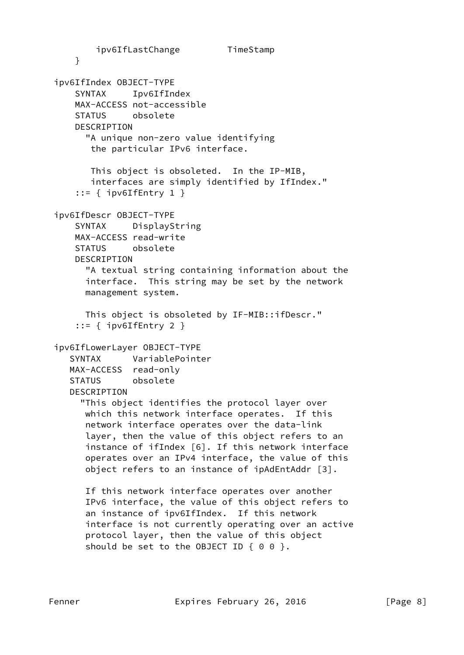ipv6IfLastChange TimeStamp } ipv6IfIndex OBJECT-TYPE SYNTAX Ipv6IfIndex MAX-ACCESS not-accessible STATUS obsolete DESCRIPTION "A unique non-zero value identifying the particular IPv6 interface. This object is obsoleted. In the IP-MIB, interfaces are simply identified by IfIndex." ::= { ipv6IfEntry 1 } ipv6IfDescr OBJECT-TYPE SYNTAX DisplayString MAX-ACCESS read-write STATUS obsolete DESCRIPTION "A textual string containing information about the interface. This string may be set by the network management system. This object is obsoleted by IF-MIB::ifDescr." ::= { ipv6IfEntry 2 } ipv6IfLowerLayer OBJECT-TYPE SYNTAX VariablePointer MAX-ACCESS read-only STATUS obsolete DESCRIPTION "This object identifies the protocol layer over which this network interface operates. If this network interface operates over the data-link layer, then the value of this object refers to an instance of ifIndex [6]. If this network interface operates over an IPv4 interface, the value of this object refers to an instance of ipAdEntAddr [3]. If this network interface operates over another IPv6 interface, the value of this object refers to an instance of ipv6IfIndex. If this network interface is not currently operating over an active protocol layer, then the value of this object should be set to the OBJECT ID  $\{ 0 0 \}$ .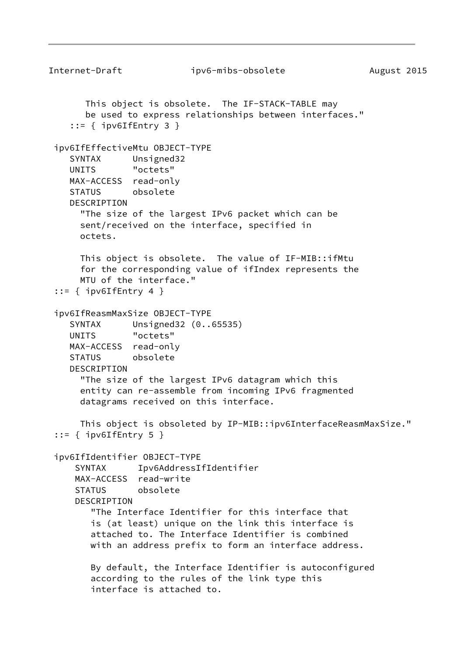```
Internet-Draft ipv6-mibs-obsolete August 2015
       This object is obsolete. The IF-STACK-TABLE may
       be used to express relationships between interfaces."
    ::= { ipv6IfEntry 3 }
  ipv6IfEffectiveMtu OBJECT-TYPE
     SYNTAX Unsigned32
    UNITS "octets"
    MAX-ACCESS read-only
     STATUS obsolete
     DESCRIPTION
       "The size of the largest IPv6 packet which can be
      sent/received on the interface, specified in
       octets.
      This object is obsolete. The value of IF-MIB::ifMtu
      for the corresponding value of ifIndex represents the
      MTU of the interface."
 ::= \{ ipv6IfEntry 4 \} ipv6IfReasmMaxSize OBJECT-TYPE
     SYNTAX Unsigned32 (0..65535)
     UNITS "octets"
    MAX-ACCESS read-only
    STATUS obsolete
     DESCRIPTION
       "The size of the largest IPv6 datagram which this
      entity can re-assemble from incoming IPv6 fragmented
      datagrams received on this interface.
      This object is obsoleted by IP-MIB::ipv6InterfaceReasmMaxSize."
 ::= { ipv6IfEntry 5 }
  ipv6IfIdentifier OBJECT-TYPE
      SYNTAX Ipv6AddressIfIdentifier
     MAX-ACCESS read-write
     STATUS obsolete
     DESCRIPTION
         "The Interface Identifier for this interface that
        is (at least) unique on the link this interface is
         attached to. The Interface Identifier is combined
        with an address prefix to form an interface address.
        By default, the Interface Identifier is autoconfigured
         according to the rules of the link type this
         interface is attached to.
```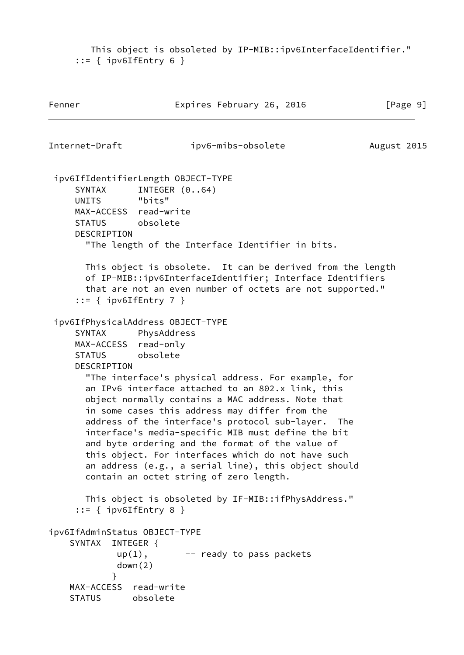This object is obsoleted by IP-MIB::ipv6InterfaceIdentifier." ::= { ipv6IfEntry 6 }

```
Fenner Expires February 26, 2016 [Page 9]
Internet-Draft ipv6-mibs-obsolete August 2015
  ipv6IfIdentifierLength OBJECT-TYPE
    SYNTAX INTEGER (0..64)
     UNITS "bits"
     MAX-ACCESS read-write
     STATUS obsolete
     DESCRIPTION
       "The length of the Interface Identifier in bits.
       This object is obsolete. It can be derived from the length
       of IP-MIB::ipv6InterfaceIdentifier; Interface Identifiers
       that are not an even number of octets are not supported."
    ::= { ipv6IfEntry 7 }
  ipv6IfPhysicalAddress OBJECT-TYPE
     SYNTAX PhysAddress
     MAX-ACCESS read-only
     STATUS obsolete
     DESCRIPTION
       "The interface's physical address. For example, for
       an IPv6 interface attached to an 802.x link, this
       object normally contains a MAC address. Note that
       in some cases this address may differ from the
       address of the interface's protocol sub-layer. The
       interface's media-specific MIB must define the bit
       and byte ordering and the format of the value of
       this object. For interfaces which do not have such
       an address (e.g., a serial line), this object should
       contain an octet string of zero length.
       This object is obsoleted by IF-MIB::ifPhysAddress."
    ::= { ipv6IfEntry 8 }
ipv6IfAdminStatus OBJECT-TYPE
    SYNTAX INTEGER {
            up(1), -- ready to pass packets
             down(2)
 }
    MAX-ACCESS read-write
    STATUS obsolete
```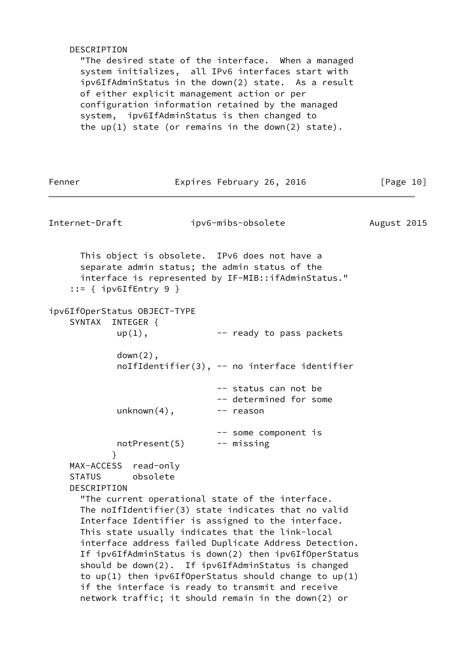## DESCRIPTION

 "The desired state of the interface. When a managed system initializes, all IPv6 interfaces start with ipv6IfAdminStatus in the down(2) state. As a result of either explicit management action or per configuration information retained by the managed system, ipv6IfAdminStatus is then changed to the up(1) state (or remains in the down(2) state).

| Fenner                                                           | Expires February 26, 2016                                                                                                                                                                                                                                                                                                                                                                                                                                                                                                                                            | [Page 10]   |
|------------------------------------------------------------------|----------------------------------------------------------------------------------------------------------------------------------------------------------------------------------------------------------------------------------------------------------------------------------------------------------------------------------------------------------------------------------------------------------------------------------------------------------------------------------------------------------------------------------------------------------------------|-------------|
| Internet-Draft                                                   | ipv6-mibs-obsolete                                                                                                                                                                                                                                                                                                                                                                                                                                                                                                                                                   | August 2015 |
| $::=$ { ipv6IfEntry 9 }                                          | This object is obsolete. IPv6 does not have a<br>separate admin status; the admin status of the<br>interface is represented by IF-MIB::ifAdminStatus."                                                                                                                                                                                                                                                                                                                                                                                                               |             |
| ipv6If0perStatus 0BJECT-TYPE<br>SYNTAX INTEGER {<br>$up(1)$ ,    | -- ready to pass packets                                                                                                                                                                                                                                                                                                                                                                                                                                                                                                                                             |             |
| $down(2)$ ,                                                      | noIfIdentifier(3), -- no interface identifier                                                                                                                                                                                                                                                                                                                                                                                                                                                                                                                        |             |
| $unknown(4)$ ,                                                   | -- status can not be<br>-- determined for some<br>-- reason                                                                                                                                                                                                                                                                                                                                                                                                                                                                                                          |             |
| notPresent(5)<br>ł                                               | -- some component is<br>-- missing                                                                                                                                                                                                                                                                                                                                                                                                                                                                                                                                   |             |
| MAX-ACCESS read-only<br>obsolete<br><b>STATUS</b><br>DESCRIPTION |                                                                                                                                                                                                                                                                                                                                                                                                                                                                                                                                                                      |             |
|                                                                  | "The current operational state of the interface.<br>The noIfIdentifier(3) state indicates that no valid<br>Interface Identifier is assigned to the interface.<br>This state usually indicates that the link-local<br>interface address failed Duplicate Address Detection.<br>If ipv6IfAdminStatus is down(2) then ipv6IfOperStatus<br>should be down(2). If ipv6IfAdminStatus is changed<br>to $up(1)$ then $ipv6If0perStatus$ should change to $up(1)$<br>if the interface is ready to transmit and receive<br>network traffic; it should remain in the down(2) or |             |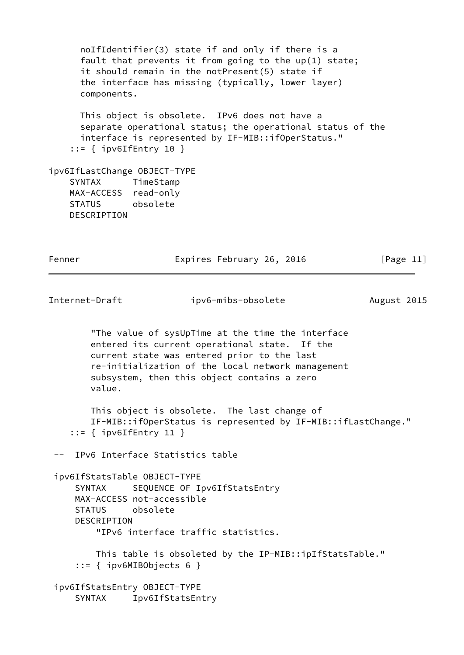noIfIdentifier(3) state if and only if there is a fault that prevents it from going to the up(1) state; it should remain in the notPresent(5) state if the interface has missing (typically, lower layer) components. This object is obsolete. IPv6 does not have a separate operational status; the operational status of the interface is represented by IF-MIB::ifOperStatus." ::= { ipv6IfEntry 10 } ipv6IfLastChange OBJECT-TYPE SYNTAX TimeStamp MAX-ACCESS read-only STATUS obsolete DESCRIPTION Fenner Expires February 26, 2016 [Page 11]

Internet-Draft ipv6-mibs-obsolete August 2015

 "The value of sysUpTime at the time the interface entered its current operational state. If the current state was entered prior to the last re-initialization of the local network management subsystem, then this object contains a zero value.

 This object is obsolete. The last change of IF-MIB::ifOperStatus is represented by IF-MIB::ifLastChange." ::= { ipv6IfEntry 11 }

-- IPv6 Interface Statistics table

 ipv6IfStatsTable OBJECT-TYPE SYNTAX SEQUENCE OF Ipv6IfStatsEntry MAX-ACCESS not-accessible STATUS obsolete DESCRIPTION "IPv6 interface traffic statistics.

 This table is obsoleted by the IP-MIB::ipIfStatsTable." ::= { ipv6MIBObjects 6 }

 ipv6IfStatsEntry OBJECT-TYPE SYNTAX Ipv6IfStatsEntry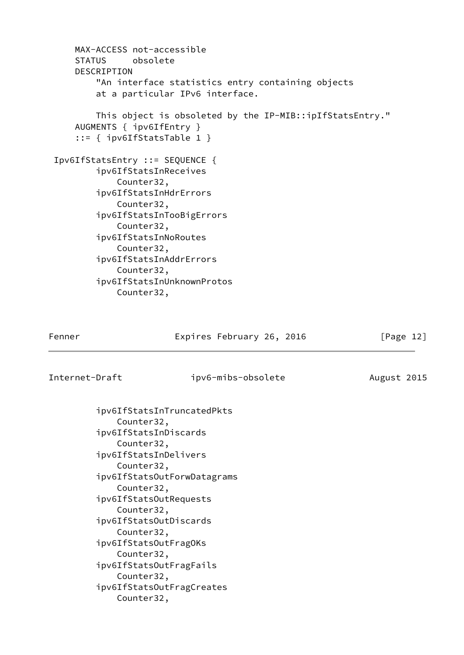| MAX-ACCESS not-accessible                                |
|----------------------------------------------------------|
| STATUS obsolete                                          |
| DESCRIPTION                                              |
| "An interface statistics entry containing objects        |
| at a particular IPv6 interface.                          |
| This object is obsoleted by the IP-MIB::ipIfStatsEntry." |
| AUGMENTS { ipv6IfEntry }                                 |
| $::=$ { ipv6IfStatsTable 1 }                             |
| Ipv6IfStatsEntry ::= SEQUENCE {                          |
| ipv6IfStatsInReceives                                    |
| Counter32,                                               |
| ipv6IfStatsInHdrErrors                                   |
| Counter32,                                               |
| ipv6IfStatsInTooBigErrors                                |
| Counter32,                                               |
| ipv6IfStatsInNoRoutes                                    |
| Counter32,                                               |
| ipv6IfStatsInAddrErrors                                  |
| Counter32,                                               |
| ipv6IfStatsInUnknownProtos                               |
| Counter32,                                               |

Expires February 26, 2016 [Page 12]

Internet-Draft ipv6-mibs-obsolete August 2015

 ipv6IfStatsInTruncatedPkts Counter32, ipv6IfStatsInDiscards Counter32, ipv6IfStatsInDelivers Counter32, ipv6IfStatsOutForwDatagrams Counter32, ipv6IfStatsOutRequests Counter32, ipv6IfStatsOutDiscards Counter32, ipv6IfStatsOutFragOKs Counter32, ipv6IfStatsOutFragFails Counter32, ipv6IfStatsOutFragCreates Counter32,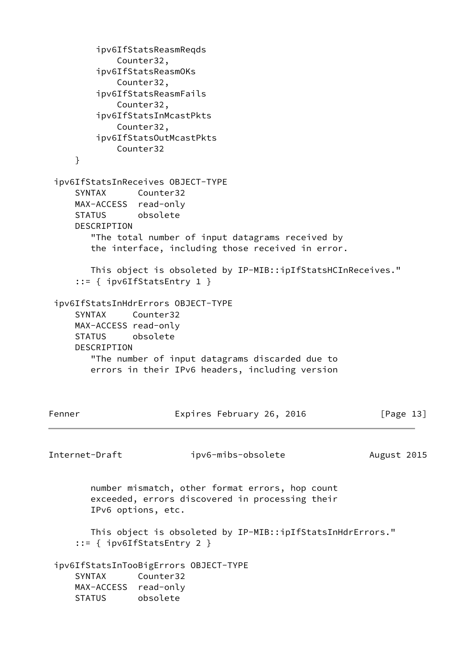```
 ipv6IfStatsReasmReqds
             Counter32,
         ipv6IfStatsReasmOKs
             Counter32,
         ipv6IfStatsReasmFails
             Counter32,
         ipv6IfStatsInMcastPkts
             Counter32,
         ipv6IfStatsOutMcastPkts
             Counter32
     }
  ipv6IfStatsInReceives OBJECT-TYPE
     SYNTAX Counter32
     MAX-ACCESS read-only
     STATUS obsolete
     DESCRIPTION
        "The total number of input datagrams received by
        the interface, including those received in error.
        This object is obsoleted by IP-MIB::ipIfStatsHCInReceives."
      ::= { ipv6IfStatsEntry 1 }
  ipv6IfStatsInHdrErrors OBJECT-TYPE
     SYNTAX Counter32
     MAX-ACCESS read-only
     STATUS obsolete
     DESCRIPTION
        "The number of input datagrams discarded due to
        errors in their IPv6 headers, including version
Fenner Expires February 26, 2016 [Page 13]
Internet-Draft ipv6-mibs-obsolete August 2015
        number mismatch, other format errors, hop count
        exceeded, errors discovered in processing their
        IPv6 options, etc.
        This object is obsoleted by IP-MIB::ipIfStatsInHdrErrors."
      ::= { ipv6IfStatsEntry 2 }
  ipv6IfStatsInTooBigErrors OBJECT-TYPE
     SYNTAX Counter32
     MAX-ACCESS read-only
     STATUS obsolete
```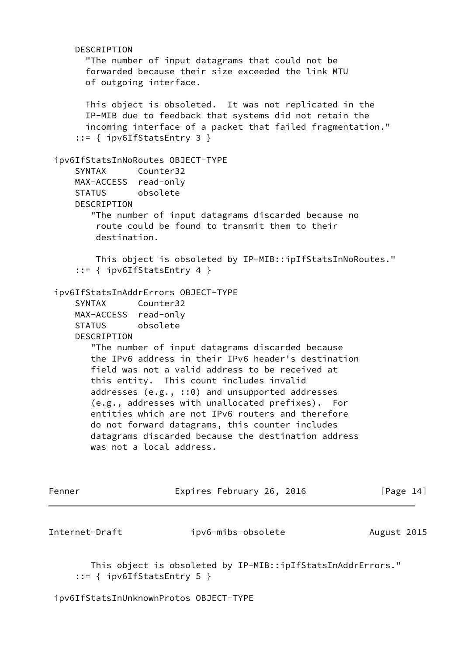| Internet-Draft               | ipv6-mibs-obsolete                                                                                                                                                                                                                                                                                                                                                                                                                                                                                                                                                                                                                         | August 2015  |
|------------------------------|--------------------------------------------------------------------------------------------------------------------------------------------------------------------------------------------------------------------------------------------------------------------------------------------------------------------------------------------------------------------------------------------------------------------------------------------------------------------------------------------------------------------------------------------------------------------------------------------------------------------------------------------|--------------|
| Fenner                       | Expires February 26, 2016                                                                                                                                                                                                                                                                                                                                                                                                                                                                                                                                                                                                                  | [Page $14$ ] |
| <b>SYNTAX</b><br>DESCRIPTION | $::=$ { ipv6IfStatsEntry 4 }<br>ipv6IfStatsInAddrErrors OBJECT-TYPE<br>Counter32<br>MAX-ACCESS read-only<br>STATUS obsolete<br>"The number of input datagrams discarded because<br>the IPv6 address in their IPv6 header's destination<br>field was not a valid address to be received at<br>this entity. This count includes invalid<br>addresses $(e.g., :: 0)$ and unsupported addresses<br>(e.g., addresses with unallocated prefixes). For<br>entities which are not IPv6 routers and therefore<br>do not forward datagrams, this counter includes<br>datagrams discarded because the destination address<br>was not a local address. |              |
| SYNTAX<br>DESCRIPTION        | ipv6IfStatsInNoRoutes OBJECT-TYPE<br>Counter32<br>MAX-ACCESS read-only<br>STATUS obsolete<br>"The number of input datagrams discarded because no<br>route could be found to transmit them to their<br>destination.<br>This object is obsoleted by IP-MIB::ipIfStatsInNoRoutes."                                                                                                                                                                                                                                                                                                                                                            |              |
|                              | This object is obsoleted. It was not replicated in the<br>IP-MIB due to feedback that systems did not retain the<br>incoming interface of a packet that failed fragmentation."<br>$::=$ { ipv6IfStatsEntry 3 }                                                                                                                                                                                                                                                                                                                                                                                                                             |              |
| DESCRIPTION                  | "The number of input datagrams that could not be<br>forwarded because their size exceeded the link MTU<br>of outgoing interface.                                                                                                                                                                                                                                                                                                                                                                                                                                                                                                           |              |

 This object is obsoleted by IP-MIB::ipIfStatsInAddrErrors." ::= { ipv6IfStatsEntry 5 }

ipv6IfStatsInUnknownProtos OBJECT-TYPE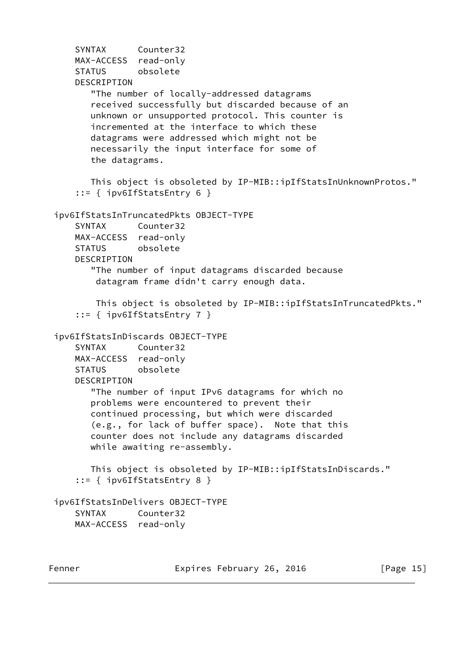SYNTAX Counter32 MAX-ACCESS read-only STATUS obsolete DESCRIPTION "The number of locally-addressed datagrams received successfully but discarded because of an unknown or unsupported protocol. This counter is incremented at the interface to which these datagrams were addressed which might not be necessarily the input interface for some of the datagrams. This object is obsoleted by IP-MIB::ipIfStatsInUnknownProtos." ::= { ipv6IfStatsEntry 6 } ipv6IfStatsInTruncatedPkts OBJECT-TYPE SYNTAX Counter32 MAX-ACCESS read-only STATUS obsolete DESCRIPTION "The number of input datagrams discarded because datagram frame didn't carry enough data. This object is obsoleted by IP-MIB::ipIfStatsInTruncatedPkts." ::= { ipv6IfStatsEntry 7 } ipv6IfStatsInDiscards OBJECT-TYPE SYNTAX Counter32 MAX-ACCESS read-only STATUS obsolete DESCRIPTION "The number of input IPv6 datagrams for which no problems were encountered to prevent their continued processing, but which were discarded (e.g., for lack of buffer space). Note that this counter does not include any datagrams discarded while awaiting re-assembly. This object is obsoleted by IP-MIB::ipIfStatsInDiscards." ::= { ipv6IfStatsEntry 8 } ipv6IfStatsInDelivers OBJECT-TYPE SYNTAX Counter32 MAX-ACCESS read-only

Fenner Expires February 26, 2016 [Page 15]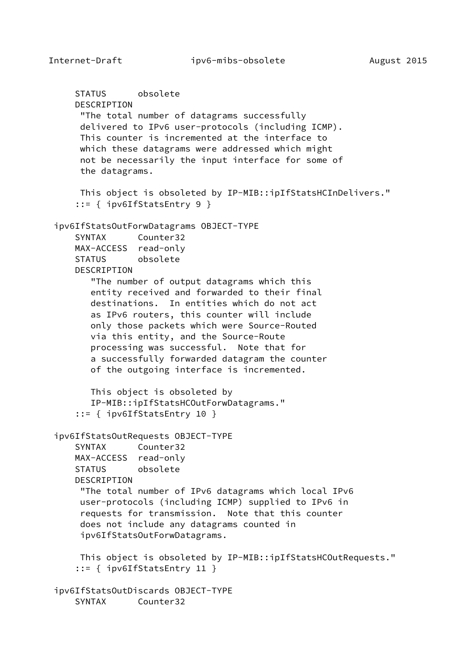```
 STATUS obsolete
    DESCRIPTION
      "The total number of datagrams successfully
     delivered to IPv6 user-protocols (including ICMP).
     This counter is incremented at the interface to
     which these datagrams were addressed which might
     not be necessarily the input interface for some of
     the datagrams.
     This object is obsoleted by IP-MIB::ipIfStatsHCInDelivers."
     ::= { ipv6IfStatsEntry 9 }
 ipv6IfStatsOutForwDatagrams OBJECT-TYPE
     SYNTAX Counter32
    MAX-ACCESS read-only
     STATUS obsolete
    DESCRIPTION
        "The number of output datagrams which this
        entity received and forwarded to their final
        destinations. In entities which do not act
        as IPv6 routers, this counter will include
        only those packets which were Source-Routed
        via this entity, and the Source-Route
       processing was successful. Note that for
        a successfully forwarded datagram the counter
        of the outgoing interface is incremented.
       This object is obsoleted by
       IP-MIB::ipIfStatsHCOutForwDatagrams."
     ::= { ipv6IfStatsEntry 10 }
 ipv6IfStatsOutRequests OBJECT-TYPE
     SYNTAX Counter32
    MAX-ACCESS read-only
     STATUS obsolete
    DESCRIPTION
      "The total number of IPv6 datagrams which local IPv6
     user-protocols (including ICMP) supplied to IPv6 in
      requests for transmission. Note that this counter
     does not include any datagrams counted in
      ipv6IfStatsOutForwDatagrams.
     This object is obsoleted by IP-MIB::ipIfStatsHCOutRequests."
     ::= { ipv6IfStatsEntry 11 }
 ipv6IfStatsOutDiscards OBJECT-TYPE
     SYNTAX Counter32
```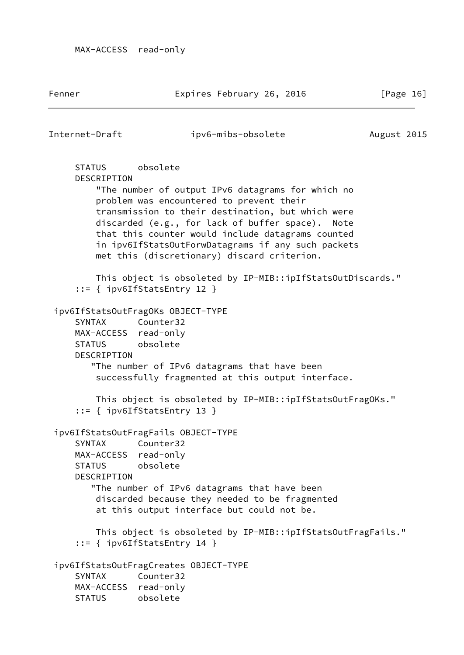Fenner Expires February 26, 2016 [Page 16]

Internet-Draft ipv6-mibs-obsolete August 2015

 STATUS obsolete DESCRIPTION "The number of output IPv6 datagrams for which no problem was encountered to prevent their transmission to their destination, but which were discarded (e.g., for lack of buffer space). Note that this counter would include datagrams counted in ipv6IfStatsOutForwDatagrams if any such packets met this (discretionary) discard criterion. This object is obsoleted by IP-MIB::ipIfStatsOutDiscards." ::= { ipv6IfStatsEntry 12 } ipv6IfStatsOutFragOKs OBJECT-TYPE SYNTAX Counter32 MAX-ACCESS read-only STATUS obsolete DESCRIPTION "The number of IPv6 datagrams that have been successfully fragmented at this output interface. This object is obsoleted by IP-MIB::ipIfStatsOutFragOKs." ::= { ipv6IfStatsEntry 13 } ipv6IfStatsOutFragFails OBJECT-TYPE SYNTAX Counter32 MAX-ACCESS read-only STATUS obsolete DESCRIPTION "The number of IPv6 datagrams that have been discarded because they needed to be fragmented at this output interface but could not be. This object is obsoleted by IP-MIB::ipIfStatsOutFragFails." ::= { ipv6IfStatsEntry 14 } ipv6IfStatsOutFragCreates OBJECT-TYPE SYNTAX Counter32 MAX-ACCESS read-only STATUS obsolete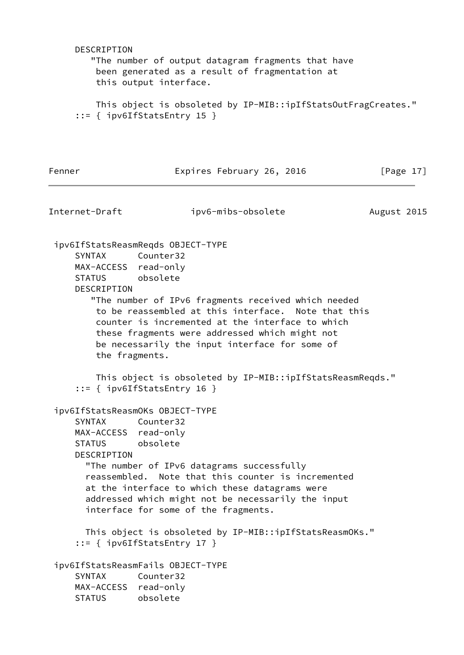| DESCRIPTION                                                                                                | "The number of output datagram fragments that have<br>been generated as a result of fragmentation at<br>this output interface.                                                                                                                                                                                       |             |
|------------------------------------------------------------------------------------------------------------|----------------------------------------------------------------------------------------------------------------------------------------------------------------------------------------------------------------------------------------------------------------------------------------------------------------------|-------------|
|                                                                                                            | This object is obsoleted by IP-MIB::ipIfStatsOutFragCreates."<br>$::=$ { ipv6IfStatsEntry 15 }                                                                                                                                                                                                                       |             |
| Fenner                                                                                                     | Expires February 26, 2016                                                                                                                                                                                                                                                                                            | [Page 17]   |
| Internet-Draft                                                                                             | ipv6-mibs-obsolete                                                                                                                                                                                                                                                                                                   | August 2015 |
| SYNTAX<br>MAX-ACCESS read-only<br>STATUS obsolete<br>DESCRIPTION<br>the fragments.                         | ipv6IfStatsReasmReqds OBJECT-TYPE<br>Counter32<br>"The number of IPv6 fragments received which needed<br>to be reassembled at this interface. Note that this<br>counter is incremented at the interface to which<br>these fragments were addressed which might not<br>be necessarily the input interface for some of |             |
|                                                                                                            | This object is obsoleted by IP-MIB::ipIfStatsReasmReqds."<br>$::=$ { ipv6IfStatsEntry 16 }                                                                                                                                                                                                                           |             |
| ipv6IfStatsReasmOKs OBJECT-TYPE<br><b>SYNTAX</b><br>MAX-ACCESS read-only<br>STATUS obsolete<br>DESCRIPTION | Counter32<br>"The number of IPv6 datagrams successfully<br>reassembled. Note that this counter is incremented<br>at the interface to which these datagrams were<br>addressed which might not be necessarily the input<br>interface for some of the fragments.                                                        |             |
|                                                                                                            | This object is obsoleted by IP-MIB::ipIfStatsReasmOKs."<br>$::=$ { ipv6IfStatsEntry 17 }                                                                                                                                                                                                                             |             |
| <b>SYNTAX</b><br>MAX-ACCESS read-only<br><b>STATUS</b>                                                     | ipv6IfStatsReasmFails OBJECT-TYPE<br>Counter32<br>obsolete                                                                                                                                                                                                                                                           |             |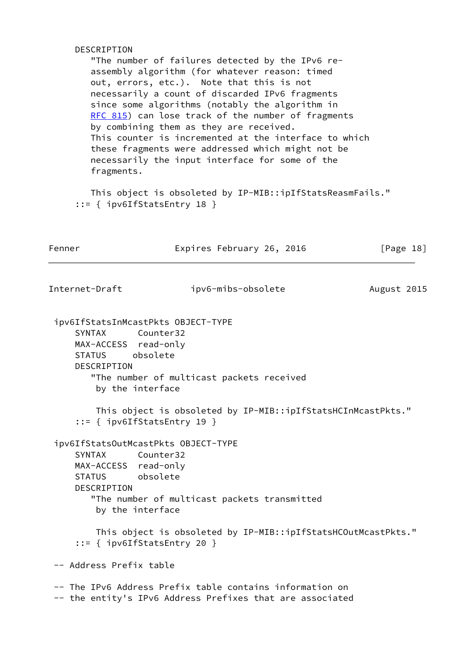| DESCRIPTION                                                      | "The number of failures detected by the IPv6 re-<br>assembly algorithm (for whatever reason: timed<br>out, errors, etc.). Note that this is not<br>necessarily a count of discarded IPv6 fragments<br>since some algorithms (notably the algorithm in<br>RFC 815) can lose track of the number of fragments<br>by combining them as they are received.<br>This counter is incremented at the interface to which<br>these fragments were addressed which might not be<br>necessarily the input interface for some of the<br>fragments. |             |  |  |  |  |  |
|------------------------------------------------------------------|---------------------------------------------------------------------------------------------------------------------------------------------------------------------------------------------------------------------------------------------------------------------------------------------------------------------------------------------------------------------------------------------------------------------------------------------------------------------------------------------------------------------------------------|-------------|--|--|--|--|--|
|                                                                  | This object is obsoleted by IP-MIB::ipIfStatsReasmFails."<br>$::=$ { ipv6IfStatsEntry 18 }                                                                                                                                                                                                                                                                                                                                                                                                                                            |             |  |  |  |  |  |
| Fenner                                                           | Expires February 26, 2016                                                                                                                                                                                                                                                                                                                                                                                                                                                                                                             | [Page 18]   |  |  |  |  |  |
| Internet-Draft                                                   | ipv6-mibs-obsolete                                                                                                                                                                                                                                                                                                                                                                                                                                                                                                                    | August 2015 |  |  |  |  |  |
| MAX-ACCESS read-only<br>STATUS obsolete<br><b>DESCRIPTION</b>    | "The number of multicast packets received<br>by the interface                                                                                                                                                                                                                                                                                                                                                                                                                                                                         |             |  |  |  |  |  |
|                                                                  | This object is obsoleted by IP-MIB::ipIfStatsHCInMcastPkts."<br>$::=$ { ipv6IfStatsEntry 19 }                                                                                                                                                                                                                                                                                                                                                                                                                                         |             |  |  |  |  |  |
| SYNTAX<br>MAX-ACCESS read-only<br>STATUS obsolete<br>DESCRIPTION | ipv6IfStatsOutMcastPkts OBJECT-TYPE<br>Counter32<br>"The number of multicast packets transmitted                                                                                                                                                                                                                                                                                                                                                                                                                                      |             |  |  |  |  |  |
|                                                                  | by the interface                                                                                                                                                                                                                                                                                                                                                                                                                                                                                                                      |             |  |  |  |  |  |
|                                                                  | This object is obsoleted by IP-MIB::ipIfStatsHCOutMcastPkts."<br>$::=$ { ipv6IfStatsEntry 20 }                                                                                                                                                                                                                                                                                                                                                                                                                                        |             |  |  |  |  |  |
| -- Address Prefix table                                          |                                                                                                                                                                                                                                                                                                                                                                                                                                                                                                                                       |             |  |  |  |  |  |
|                                                                  | -- The IPv6 Address Prefix table contains information on<br>-- the entity's IPv6 Address Prefixes that are associated                                                                                                                                                                                                                                                                                                                                                                                                                 |             |  |  |  |  |  |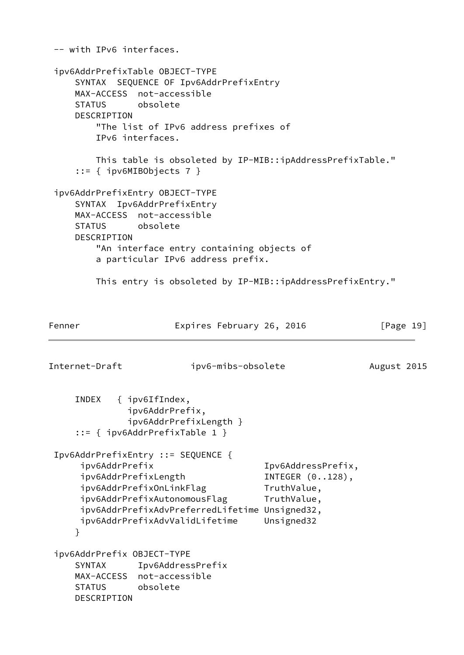-- with IPv6 interfaces. ipv6AddrPrefixTable OBJECT-TYPE SYNTAX SEQUENCE OF Ipv6AddrPrefixEntry MAX-ACCESS not-accessible STATUS obsolete DESCRIPTION "The list of IPv6 address prefixes of IPv6 interfaces. This table is obsoleted by IP-MIB::ipAddressPrefixTable." ::= { ipv6MIBObjects 7 } ipv6AddrPrefixEntry OBJECT-TYPE SYNTAX Ipv6AddrPrefixEntry MAX-ACCESS not-accessible STATUS obsolete DESCRIPTION "An interface entry containing objects of a particular IPv6 address prefix. This entry is obsoleted by IP-MIB::ipAddressPrefixEntry." Fenner Expires February 26, 2016 [Page 19] Internet-Draft ipv6-mibs-obsolete August 2015 INDEX { ipv6IfIndex, ipv6AddrPrefix, ipv6AddrPrefixLength } ::= { ipv6AddrPrefixTable 1 } Ipv6AddrPrefixEntry ::= SEQUENCE { ipv6AddrPrefix Ipv6AddressPrefix, ipv6AddrPrefixLength INTEGER  $(0..128)$ , ipv6AddrPrefixOnLinkFlag TruthValue, ipv6AddrPrefixAutonomousFlag TruthValue, ipv6AddrPrefixAdvPreferredLifetime Unsigned32, ipv6AddrPrefixAdvValidLifetime Unsigned32 } ipv6AddrPrefix OBJECT-TYPE SYNTAX Ipv6AddressPrefix MAX-ACCESS not-accessible STATUS obsolete DESCRIPTION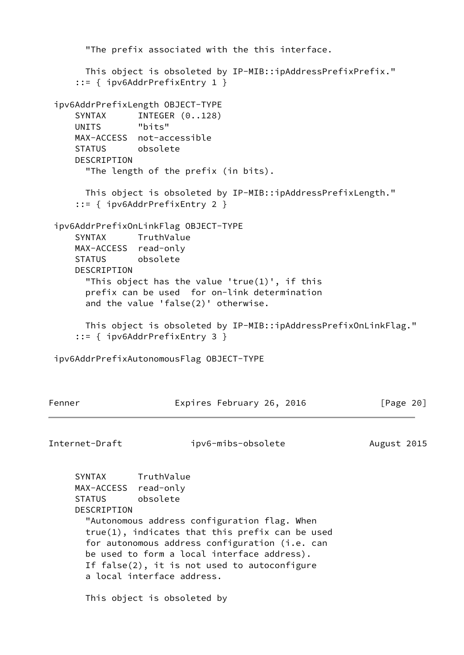```
 "The prefix associated with the this interface.
      This object is obsoleted by IP-MIB::ipAddressPrefixPrefix."
      ::= { ipv6AddrPrefixEntry 1 }
  ipv6AddrPrefixLength OBJECT-TYPE
    SYNTAX INTEGER (0..128)
     UNITS "bits"
     MAX-ACCESS not-accessible
     STATUS obsolete
     DESCRIPTION
       "The length of the prefix (in bits).
       This object is obsoleted by IP-MIB::ipAddressPrefixLength."
      ::= { ipv6AddrPrefixEntry 2 }
  ipv6AddrPrefixOnLinkFlag OBJECT-TYPE
     SYNTAX TruthValue
     MAX-ACCESS read-only
     STATUS obsolete
     DESCRIPTION
       "This object has the value 'true(1)', if this
       prefix can be used for on-link determination
       and the value 'false(2)' otherwise.
       This object is obsoleted by IP-MIB::ipAddressPrefixOnLinkFlag."
      ::= { ipv6AddrPrefixEntry 3 }
  ipv6AddrPrefixAutonomousFlag OBJECT-TYPE
Fenner Expires February 26, 2016 [Page 20]
Internet-Draft ipv6-mibs-obsolete August 2015
     SYNTAX TruthValue
     MAX-ACCESS read-only
     STATUS obsolete
     DESCRIPTION
       "Autonomous address configuration flag. When
       true(1), indicates that this prefix can be used
       for autonomous address configuration (i.e. can
       be used to form a local interface address).
       If false(2), it is not used to autoconfigure
       a local interface address.
       This object is obsoleted by
```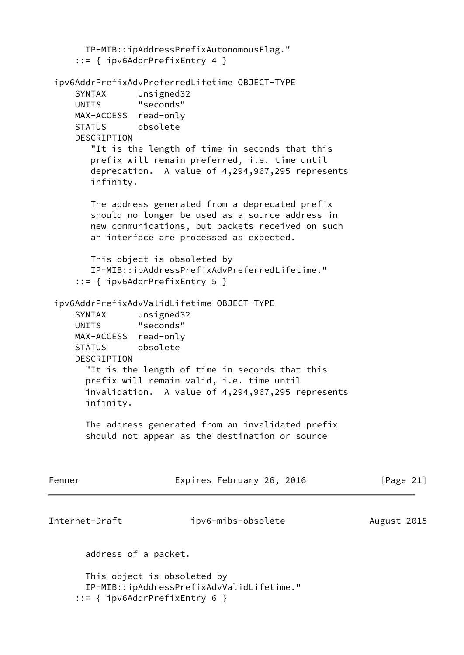```
 IP-MIB::ipAddressPrefixAutonomousFlag."
      ::= { ipv6AddrPrefixEntry 4 }
  ipv6AddrPrefixAdvPreferredLifetime OBJECT-TYPE
      SYNTAX Unsigned32
      UNITS "seconds"
      MAX-ACCESS read-only
      STATUS obsolete
      DESCRIPTION
         "It is the length of time in seconds that this
         prefix will remain preferred, i.e. time until
         deprecation. A value of 4,294,967,295 represents
         infinity.
         The address generated from a deprecated prefix
         should no longer be used as a source address in
         new communications, but packets received on such
         an interface are processed as expected.
        This object is obsoleted by
         IP-MIB::ipAddressPrefixAdvPreferredLifetime."
      ::= { ipv6AddrPrefixEntry 5 }
  ipv6AddrPrefixAdvValidLifetime OBJECT-TYPE
      SYNTAX Unsigned32
      UNITS "seconds"
      MAX-ACCESS read-only
      STATUS obsolete
      DESCRIPTION
        "It is the length of time in seconds that this
        prefix will remain valid, i.e. time until
        invalidation. A value of 4,294,967,295 represents
        infinity.
        The address generated from an invalidated prefix
        should not appear as the destination or source
Fenner                             Expires February 26, 2016               [Page 21]
Internet-Draft ipv6-mibs-obsolete August 2015
        address of a packet.
        This object is obsoleted by
        IP-MIB::ipAddressPrefixAdvValidLifetime."
      ::= { ipv6AddrPrefixEntry 6 }
```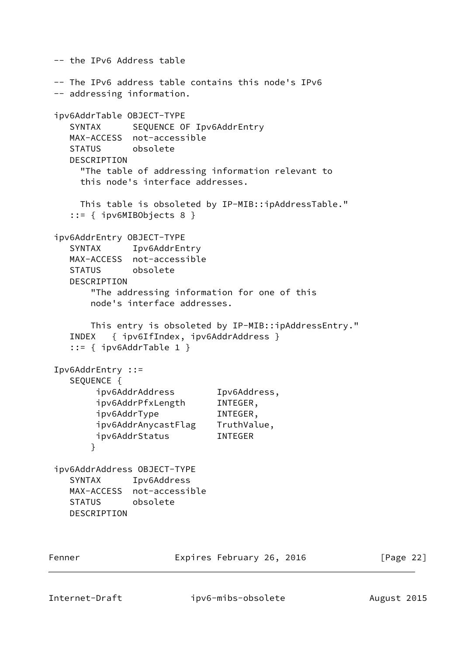-- the IPv6 Address table -- The IPv6 address table contains this node's IPv6 -- addressing information. ipv6AddrTable OBJECT-TYPE SYNTAX SEQUENCE OF Ipv6AddrEntry MAX-ACCESS not-accessible STATUS obsolete DESCRIPTION "The table of addressing information relevant to this node's interface addresses. This table is obsoleted by IP-MIB::ipAddressTable." ::= { ipv6MIBObjects 8 } ipv6AddrEntry OBJECT-TYPE SYNTAX Ipv6AddrEntry MAX-ACCESS not-accessible STATUS obsolete DESCRIPTION "The addressing information for one of this node's interface addresses. This entry is obsoleted by IP-MIB::ipAddressEntry." INDEX { ipv6IfIndex, ipv6AddrAddress } ::= { ipv6AddrTable 1 } Ipv6AddrEntry ::= SEQUENCE { ipv6AddrAddress Ipv6Address, ipv6AddrPfxLength INTEGER, ipv6AddrType INTEGER, ipv6AddrAnycastFlag TruthValue, ipv6AddrStatus INTEGER } ipv6AddrAddress OBJECT-TYPE SYNTAX Ipv6Address MAX-ACCESS not-accessible STATUS obsolete DESCRIPTION Fenner Expires February 26, 2016 [Page 22]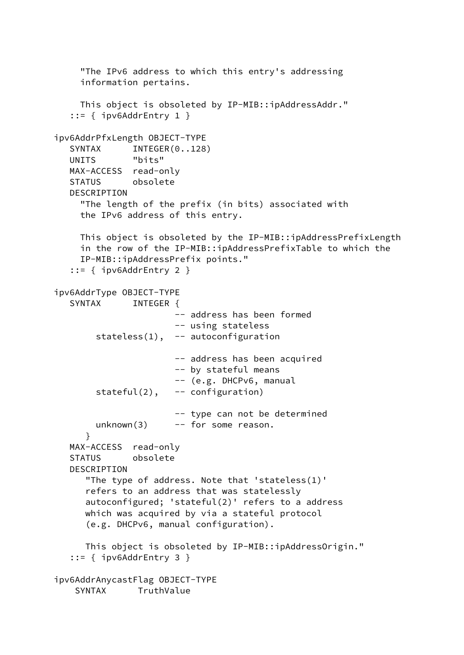"The IPv6 address to which this entry's addressing information pertains. This object is obsoleted by IP-MIB::ipAddressAddr." ::= { ipv6AddrEntry 1 } ipv6AddrPfxLength OBJECT-TYPE SYNTAX INTEGER(0..128) UNITS "bits" MAX-ACCESS read-only STATUS obsolete DESCRIPTION "The length of the prefix (in bits) associated with the IPv6 address of this entry. This object is obsoleted by the IP-MIB::ipAddressPrefixLength in the row of the IP-MIB::ipAddressPrefixTable to which the IP-MIB::ipAddressPrefix points." ::= { ipv6AddrEntry 2 } ipv6AddrType OBJECT-TYPE SYNTAX INTEGER { -- address has been formed -- using stateless stateless $(1)$ , -- autoconfiguration -- address has been acquired -- by stateful means -- (e.g. DHCPv6, manual stateful $(2)$ , -- configuration) -- type can not be determined unknown(3) -- for some reason. } MAX-ACCESS read-only STATUS obsolete DESCRIPTION "The type of address. Note that 'stateless(1)' refers to an address that was statelessly autoconfigured; 'stateful(2)' refers to a address which was acquired by via a stateful protocol (e.g. DHCPv6, manual configuration). This object is obsoleted by IP-MIB::ipAddressOrigin." ::= { ipv6AddrEntry 3 } ipv6AddrAnycastFlag OBJECT-TYPE SYNTAX TruthValue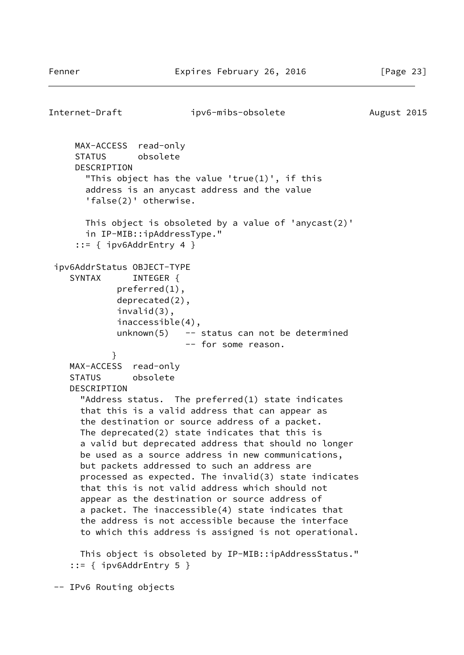```
Internet-Draft ipv6-mibs-obsolete August 2015
     MAX-ACCESS read-only
     STATUS obsolete
     DESCRIPTION
        "This object has the value 'true(1)', if this
       address is an anycast address and the value
        'false(2)' otherwise.
       This object is obsoleted by a value of 'anycast(2)'
       in IP-MIB::ipAddressType."
      ::= { ipv6AddrEntry 4 }
  ipv6AddrStatus OBJECT-TYPE
    SYNTAX INTEGER {
             preferred(1),
             deprecated(2),
             invalid(3),
             inaccessible(4),
            unknown(5) - status can not be determined
                         -- for some reason.
 }
    MAX-ACCESS read-only
     STATUS obsolete
     DESCRIPTION
       "Address status. The preferred(1) state indicates
       that this is a valid address that can appear as
       the destination or source address of a packet.
      The deprecated(2) state indicates that this is
       a valid but deprecated address that should no longer
      be used as a source address in new communications,
      but packets addressed to such an address are
      processed as expected. The invalid(3) state indicates
      that this is not valid address which should not
      appear as the destination or source address of
      a packet. The inaccessible(4) state indicates that
      the address is not accessible because the interface
       to which this address is assigned is not operational.
      This object is obsoleted by IP-MIB::ipAddressStatus."
    ::= { ipv6AddrEntry 5 }
 -- IPv6 Routing objects
```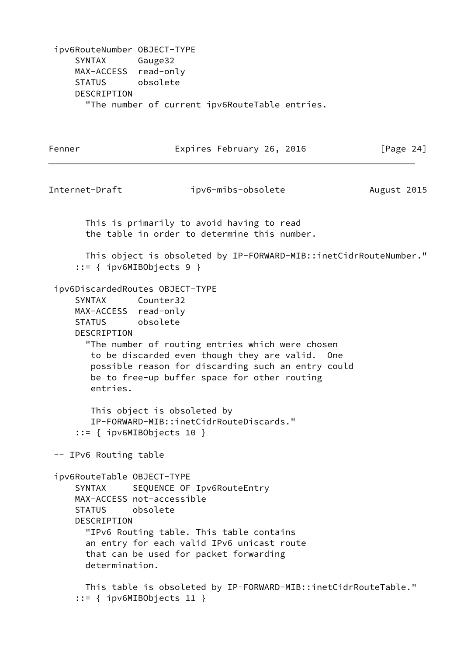ipv6RouteNumber OBJECT-TYPE SYNTAX Gauge32 MAX-ACCESS read-only STATUS obsolete DESCRIPTION "The number of current ipv6RouteTable entries.

| Fenner                                                                                                                                 | Expires February 26, 2016                                                                                                                                                                                                          | [Page $24$ ] |
|----------------------------------------------------------------------------------------------------------------------------------------|------------------------------------------------------------------------------------------------------------------------------------------------------------------------------------------------------------------------------------|--------------|
| Internet-Draft                                                                                                                         | ipv6-mibs-obsolete                                                                                                                                                                                                                 | August 2015  |
|                                                                                                                                        | This is primarily to avoid having to read<br>the table in order to determine this number.                                                                                                                                          |              |
| $::=$ { ipv6MIBObjects 9 }                                                                                                             | This object is obsoleted by IP-FORWARD-MIB::inetCidrRouteNumber."                                                                                                                                                                  |              |
| ipv6DiscardedRoutes OBJECT-TYPE<br><b>SYNTAX</b><br>MAX-ACCESS read-only<br><b>STATUS</b><br>DESCRIPTION<br>entries.                   | Counter32<br>obsolete<br>"The number of routing entries which were chosen<br>to be discarded even though they are valid. One<br>possible reason for discarding such an entry could<br>be to free-up buffer space for other routing |              |
| $::=$ { ipv6MIBObjects 10 }                                                                                                            | This object is obsoleted by<br>IP-FORWARD-MIB::inetCidrRouteDiscards."                                                                                                                                                             |              |
| -- IPv6 Routing table                                                                                                                  |                                                                                                                                                                                                                                    |              |
| ipv6RouteTable OBJECT-TYPE<br><b>SYNTAX</b><br>MAX-ACCESS not-accessible<br>obsolete<br><b>STATUS</b><br>DESCRIPTION<br>determination. | SEQUENCE OF Ipv6RouteEntry<br>"IPv6 Routing table. This table contains<br>an entry for each valid IPv6 unicast route<br>that can be used for packet forwarding                                                                     |              |
| $::=$ { ipv6MIBObjects 11 }                                                                                                            | This table is obsoleted by IP-FORWARD-MIB::inetCidrRouteTable."                                                                                                                                                                    |              |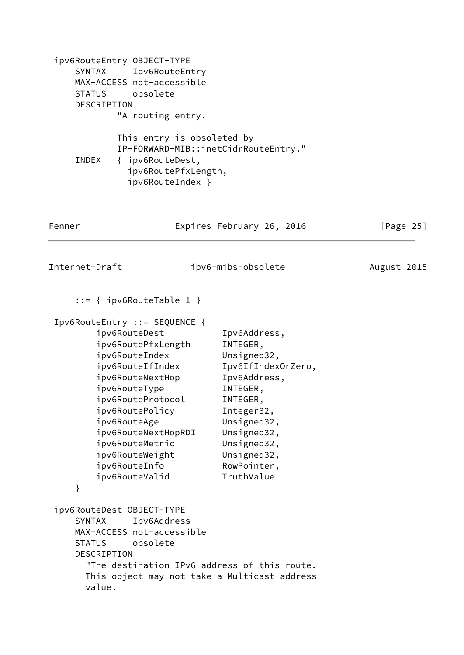| ipv6RouteEntry 0BJECT-TYPE<br>SYNTAX<br>MAX-ACCESS not-accessible<br>obsolete<br><b>STATUS</b><br>DESCRIPTION<br>"A routing entry.<br>INDEX<br>{ ipv6RouteDest,                                                                                                                                                                            | Ipv6RouteEntry<br>This entry is obsoleted by<br>IP-FORWARD-MIB::inetCidrRouteEntry."<br>ipv6RoutePfxLength,                                                                                                  |              |
|--------------------------------------------------------------------------------------------------------------------------------------------------------------------------------------------------------------------------------------------------------------------------------------------------------------------------------------------|--------------------------------------------------------------------------------------------------------------------------------------------------------------------------------------------------------------|--------------|
|                                                                                                                                                                                                                                                                                                                                            | ipv6RouteIndex }                                                                                                                                                                                             |              |
| Fenner                                                                                                                                                                                                                                                                                                                                     | Expires February 26, 2016                                                                                                                                                                                    | [Page $25$ ] |
| Internet-Draft                                                                                                                                                                                                                                                                                                                             | ipv6-mibs-obsolete                                                                                                                                                                                           | August 2015  |
| $::=$ { ipv6RouteTable 1 }<br>Ipv6RouteEntry ::= SEQUENCE {<br>ipv6RouteDest<br>ipv6RoutePfxLength<br>ipv6RouteIndex<br>ipv6RouteIfIndex<br>ipv6RouteNextHop<br>ipv6RouteType<br>ipv6RouteProtocol<br>ipv6RoutePolicy<br>ipv6RouteAge<br>ipv6RouteNextHopRDI<br>ipv6RouteMetric<br>ipv6RouteWeight<br>ipv6RouteInfo<br>ipv6RouteValid<br>} | Ipv6Address,<br>INTEGER,<br>Unsigned32,<br>Ipv6IfIndexOrZero,<br>Ipv6Address,<br>INTEGER,<br>INTEGER,<br>Integer32,<br>Unsigned32,<br>Unsigned32,<br>Unsigned32,<br>Unsigned32,<br>RowPointer,<br>TruthValue |              |
| ipv6RouteDest OBJECT-TYPE<br><b>SYNTAX</b><br>Ipv6Address<br>MAX-ACCESS not-accessible<br>obsolete<br><b>STATUS</b><br>DESCRIPTION<br>value.                                                                                                                                                                                               | "The destination IPv6 address of this route.<br>This object may not take a Multicast address                                                                                                                 |              |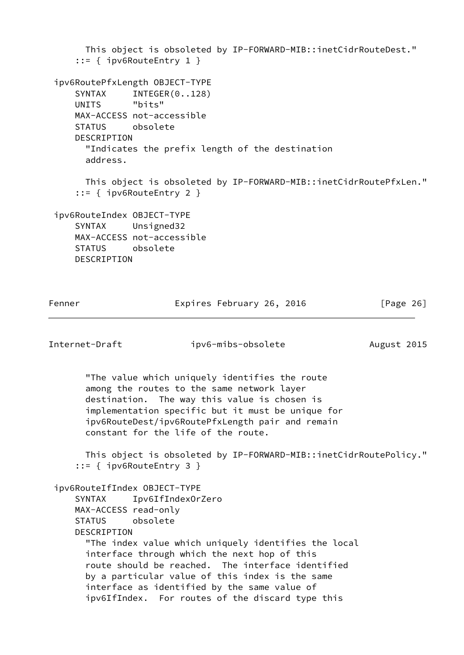```
 This object is obsoleted by IP-FORWARD-MIB::inetCidrRouteDest."
      ::= { ipv6RouteEntry 1 }
 ipv6RoutePfxLength OBJECT-TYPE
    SYNTAX INTEGER(0..128)
     UNITS "bits"
     MAX-ACCESS not-accessible
     STATUS obsolete
     DESCRIPTION
       "Indicates the prefix length of the destination
       address.
       This object is obsoleted by IP-FORWARD-MIB::inetCidrRoutePfxLen."
     ::= { ipv6RouteEntry 2 }
 ipv6RouteIndex OBJECT-TYPE
     SYNTAX Unsigned32
     MAX-ACCESS not-accessible
     STATUS obsolete
     DESCRIPTION
Fenner Expires February 26, 2016 [Page 26]
Internet-Draft ipv6-mibs-obsolete August 2015
       "The value which uniquely identifies the route
       among the routes to the same network layer
       destination. The way this value is chosen is
       implementation specific but it must be unique for
       ipv6RouteDest/ipv6RoutePfxLength pair and remain
       constant for the life of the route.
       This object is obsoleted by IP-FORWARD-MIB::inetCidrRoutePolicy."
     ::= { ipv6RouteEntry 3 }
 ipv6RouteIfIndex OBJECT-TYPE
     SYNTAX Ipv6IfIndexOrZero
     MAX-ACCESS read-only
     STATUS obsolete
```
"The index value which uniquely identifies the local

 route should be reached. The interface identified by a particular value of this index is the same interface as identified by the same value of

ipv6IfIndex. For routes of the discard type this

interface through which the next hop of this

DESCRIPTION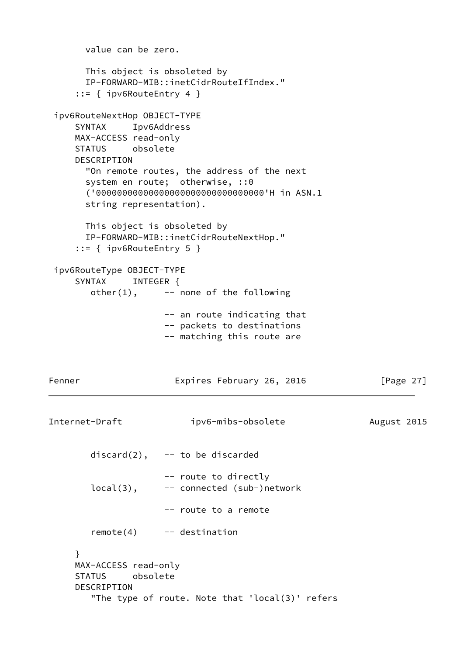```
 value can be zero.
       This object is obsoleted by
       IP-FORWARD-MIB::inetCidrRouteIfIndex."
     ::= { ipv6RouteEntry 4 }
 ipv6RouteNextHop OBJECT-TYPE
     SYNTAX Ipv6Address
     MAX-ACCESS read-only
     STATUS obsolete
     DESCRIPTION
       "On remote routes, the address of the next
       system en route; otherwise, ::0
       ('00000000000000000000000000000000'H in ASN.1
       string representation).
       This object is obsoleted by
       IP-FORWARD-MIB::inetCidrRouteNextHop."
     ::= { ipv6RouteEntry 5 }
 ipv6RouteType OBJECT-TYPE
    SYNTAX INTEGER {
       other(1), --- none of the following
                     -- an route indicating that
                     -- packets to destinations
                     -- matching this route are
Fenner Expires February 26, 2016 [Page 27]
Internet-Draft ipv6-mibs-obsolete August 2015
       discard(2), - to be discarded
                     -- route to directly
       local(3), -- connected (sub-)network
                     -- route to a remote
        remote(4) -- destination
     }
     MAX-ACCESS read-only
     STATUS obsolete
     DESCRIPTION
        "The type of route. Note that 'local(3)' refers
```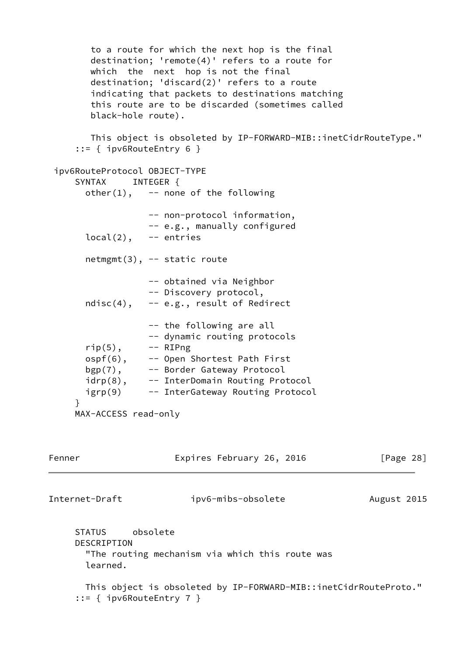to a route for which the next hop is the final destination; 'remote(4)' refers to a route for which the next hop is not the final destination; 'discard(2)' refers to a route indicating that packets to destinations matching this route are to be discarded (sometimes called black-hole route). This object is obsoleted by IP-FORWARD-MIB::inetCidrRouteType." ::= { ipv6RouteEntry 6 } ipv6RouteProtocol OBJECT-TYPE SYNTAX INTEGER {  $other(1)$ ,  $--$  none of the following -- non-protocol information, -- e.g., manually configured  $local(2)$ ,  $--$  entries netmgmt(3), -- static route -- obtained via Neighbor -- Discovery protocol, ndisc $(4)$ ,  $-$  e.g., result of Redirect -- the following are all -- dynamic routing protocols  $rip(5)$ ,  $--$  RIPng ospf(6), -- Open Shortest Path First bgp(7), -- Border Gateway Protocol idrp(8), -- InterDomain Routing Protocol igrp(9) -- InterGateway Routing Protocol } MAX-ACCESS read-only Fenner Expires February 26, 2016 [Page 28] Internet-Draft ipv6-mibs-obsolete August 2015 STATUS obsolete DESCRIPTION "The routing mechanism via which this route was learned. This object is obsoleted by IP-FORWARD-MIB::inetCidrRouteProto." ::= { ipv6RouteEntry 7 }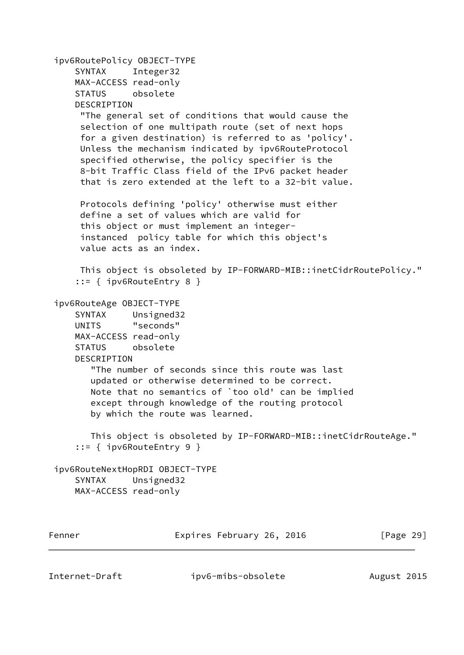```
 ipv6RoutePolicy OBJECT-TYPE
      SYNTAX Integer32
     MAX-ACCESS read-only
      STATUS obsolete
      DESCRIPTION
       "The general set of conditions that would cause the
       selection of one multipath route (set of next hops
       for a given destination) is referred to as 'policy'.
      Unless the mechanism indicated by ipv6RouteProtocol
       specified otherwise, the policy specifier is the
       8-bit Traffic Class field of the IPv6 packet header
       that is zero extended at the left to a 32-bit value.
      Protocols defining 'policy' otherwise must either
      define a set of values which are valid for
       this object or must implement an integer-
       instanced policy table for which this object's
       value acts as an index.
      This object is obsoleted by IP-FORWARD-MIB::inetCidrRoutePolicy."
      ::= { ipv6RouteEntry 8 }
  ipv6RouteAge OBJECT-TYPE
     SYNTAX Unsigned32
     UNITS "seconds"
     MAX-ACCESS read-only
      STATUS obsolete
      DESCRIPTION
         "The number of seconds since this route was last
        updated or otherwise determined to be correct.
        Note that no semantics of `too old' can be implied
         except through knowledge of the routing protocol
        by which the route was learned.
        This object is obsoleted by IP-FORWARD-MIB::inetCidrRouteAge."
      ::= { ipv6RouteEntry 9 }
  ipv6RouteNextHopRDI OBJECT-TYPE
     SYNTAX Unsigned32
     MAX-ACCESS read-only
Fenner Expires February 26, 2016 [Page 29]
```
Internet-Draft ipv6-mibs-obsolete August 2015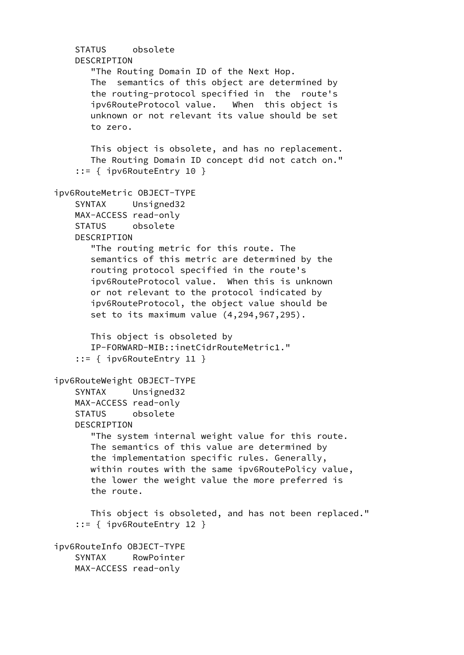```
 STATUS obsolete
    DESCRIPTION
        "The Routing Domain ID of the Next Hop.
        The semantics of this object are determined by
        the routing-protocol specified in the route's
        ipv6RouteProtocol value. When this object is
        unknown or not relevant its value should be set
        to zero.
       This object is obsolete, and has no replacement.
        The Routing Domain ID concept did not catch on."
     ::= { ipv6RouteEntry 10 }
 ipv6RouteMetric OBJECT-TYPE
     SYNTAX Unsigned32
    MAX-ACCESS read-only
     STATUS obsolete
    DESCRIPTION
        "The routing metric for this route. The
        semantics of this metric are determined by the
        routing protocol specified in the route's
        ipv6RouteProtocol value. When this is unknown
        or not relevant to the protocol indicated by
        ipv6RouteProtocol, the object value should be
        set to its maximum value (4,294,967,295).
       This object is obsoleted by
       IP-FORWARD-MIB::inetCidrRouteMetric1."
     ::= { ipv6RouteEntry 11 }
 ipv6RouteWeight OBJECT-TYPE
     SYNTAX Unsigned32
    MAX-ACCESS read-only
    STATUS obsolete
    DESCRIPTION
        "The system internal weight value for this route.
        The semantics of this value are determined by
        the implementation specific rules. Generally,
        within routes with the same ipv6RoutePolicy value,
        the lower the weight value the more preferred is
        the route.
        This object is obsoleted, and has not been replaced."
     ::= { ipv6RouteEntry 12 }
 ipv6RouteInfo OBJECT-TYPE
     SYNTAX RowPointer
    MAX-ACCESS read-only
```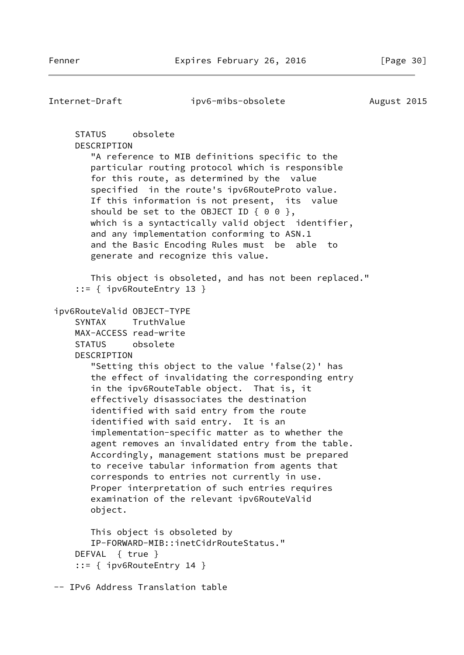Internet-Draft ipv6-mibs-obsolete August 2015 STATUS obsolete DESCRIPTION "A reference to MIB definitions specific to the particular routing protocol which is responsible for this route, as determined by the value specified in the route's ipv6RouteProto value. If this information is not present, its value should be set to the OBJECT ID  $\{ 0 0 \}$ , which is a syntactically valid object identifier, and any implementation conforming to ASN.1 and the Basic Encoding Rules must be able to generate and recognize this value. This object is obsoleted, and has not been replaced." ::= { ipv6RouteEntry 13 } ipv6RouteValid OBJECT-TYPE SYNTAX TruthValue MAX-ACCESS read-write STATUS obsolete DESCRIPTION "Setting this object to the value 'false(2)' has the effect of invalidating the corresponding entry in the ipv6RouteTable object. That is, it effectively disassociates the destination identified with said entry from the route identified with said entry. It is an implementation-specific matter as to whether the agent removes an invalidated entry from the table. Accordingly, management stations must be prepared to receive tabular information from agents that corresponds to entries not currently in use. Proper interpretation of such entries requires examination of the relevant ipv6RouteValid object. This object is obsoleted by IP-FORWARD-MIB::inetCidrRouteStatus." DEFVAL { true } ::= { ipv6RouteEntry 14 } -- IPv6 Address Translation table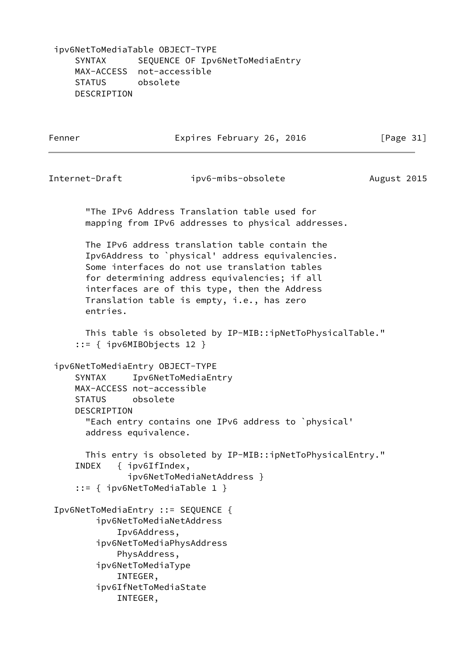ipv6NetToMediaTable OBJECT-TYPE SYNTAX SEQUENCE OF Ipv6NetToMediaEntry MAX-ACCESS not-accessible STATUS obsolete DESCRIPTION

Fenner Expires February 26, 2016 [Page 31]

Internet-Draft ipv6-mibs-obsolete August 2015 "The IPv6 Address Translation table used for mapping from IPv6 addresses to physical addresses. The IPv6 address translation table contain the Ipv6Address to `physical' address equivalencies. Some interfaces do not use translation tables for determining address equivalencies; if all interfaces are of this type, then the Address Translation table is empty, i.e., has zero entries. This table is obsoleted by IP-MIB::ipNetToPhysicalTable." ::= { ipv6MIBObjects 12 } ipv6NetToMediaEntry OBJECT-TYPE SYNTAX Ipv6NetToMediaEntry MAX-ACCESS not-accessible STATUS obsolete DESCRIPTION "Each entry contains one IPv6 address to `physical' address equivalence. This entry is obsoleted by IP-MIB::ipNetToPhysicalEntry." INDEX { ipv6IfIndex, ipv6NetToMediaNetAddress } ::= { ipv6NetToMediaTable 1 } Ipv6NetToMediaEntry ::= SEQUENCE { ipv6NetToMediaNetAddress Ipv6Address, ipv6NetToMediaPhysAddress PhysAddress, ipv6NetToMediaType

- INTEGER,
- ipv6IfNetToMediaState
	- INTEGER,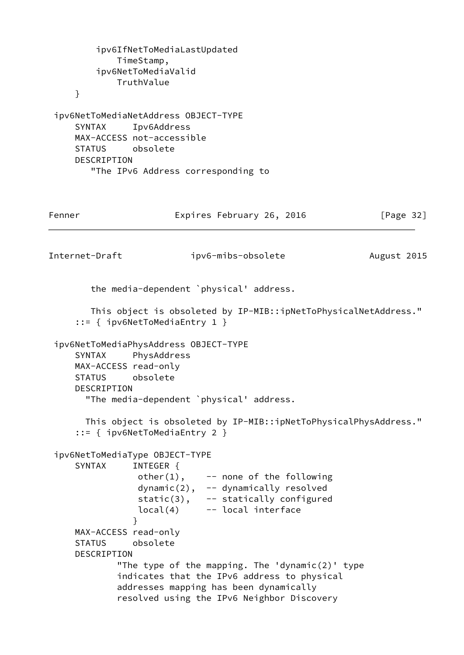```
 ipv6IfNetToMediaLastUpdated
             TimeStamp,
         ipv6NetToMediaValid
             TruthValue
     }
  ipv6NetToMediaNetAddress OBJECT-TYPE
     SYNTAX Ipv6Address
     MAX-ACCESS not-accessible
     STATUS obsolete
     DESCRIPTION
        "The IPv6 Address corresponding to
Fenner Expires February 26, 2016 [Page 32]
Internet-Draft ipv6-mibs-obsolete August 2015
        the media-dependent `physical' address.
        This object is obsoleted by IP-MIB::ipNetToPhysicalNetAddress."
     ::= { ipv6NetToMediaEntry 1 }
  ipv6NetToMediaPhysAddress OBJECT-TYPE
     SYNTAX PhysAddress
     MAX-ACCESS read-only
     STATUS obsolete
     DESCRIPTION
       "The media-dependent `physical' address.
       This object is obsoleted by IP-MIB::ipNetToPhysicalPhysAddress."
     ::= { ipv6NetToMediaEntry 2 }
  ipv6NetToMediaType OBJECT-TYPE
     SYNTAX INTEGER {
                other(1), --- none of the following
                 dynamic(2), -- dynamically resolved
                 static(3), -- statically configured
                 local(4) -- local interface
 }
     MAX-ACCESS read-only
     STATUS obsolete
     DESCRIPTION
            "The type of the mapping. The 'dynamic(2)' type
             indicates that the IPv6 address to physical
             addresses mapping has been dynamically
             resolved using the IPv6 Neighbor Discovery
```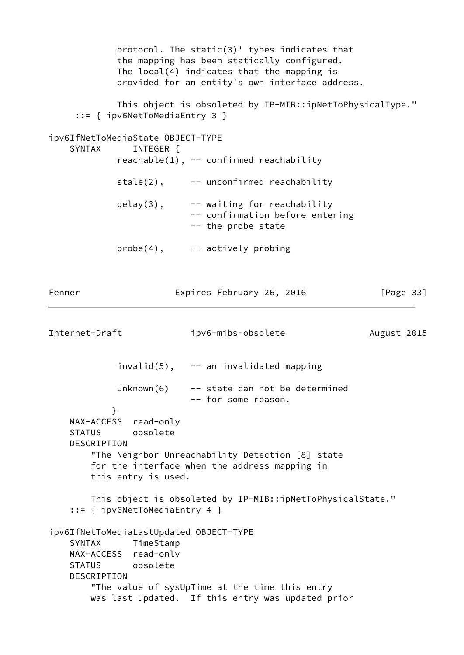|                                            |                                                      | protocol. The static(3)' types indicates that<br>the mapping has been statically configured.<br>The $local(4)$ indicates that the mapping is<br>provided for an entity's own interface address. |              |  |  |
|--------------------------------------------|------------------------------------------------------|-------------------------------------------------------------------------------------------------------------------------------------------------------------------------------------------------|--------------|--|--|
|                                            |                                                      | This object is obsoleted by IP-MIB::ipNetToPhysicalType."<br>$::=$ { ipv6NetToMediaEntry 3 }                                                                                                    |              |  |  |
| <b>SYNTAX</b>                              | ipv6IfNetToMediaState OBJECT-TYPE<br>INTEGER {       | $reachable(1)$ , -- confirmed reachability                                                                                                                                                      |              |  |  |
|                                            | $state(2)$ ,                                         | -- unconfirmed reachability                                                                                                                                                                     |              |  |  |
|                                            | $delay(3)$ ,                                         | -- waiting for reachability<br>-- confirmation before entering<br>-- the probe state                                                                                                            |              |  |  |
|                                            |                                                      | $probe(4)$ , $--$ actively probing                                                                                                                                                              |              |  |  |
| Fenner                                     |                                                      | Expires February 26, 2016                                                                                                                                                                       | [Page $33$ ] |  |  |
| Internet-Draft                             |                                                      | ipv6-mibs-obsolete                                                                                                                                                                              | August 2015  |  |  |
|                                            |                                                      | $invald(5)$ , -- an invalidated mapping                                                                                                                                                         |              |  |  |
|                                            | unknown(6)                                           | -- state can not be determined<br>-- for some reason.                                                                                                                                           |              |  |  |
| MAX-ACCESS<br><b>STATUS</b><br>DESCRIPTION | }<br>read-only<br>obsolete<br>this entry is used.    | "The Neighbor Unreachability Detection [8] state<br>for the interface when the address mapping in                                                                                               |              |  |  |
|                                            | $::=$ { ipv6NetToMediaEntry 4 }                      | This object is obsoleted by IP-MIB::ipNetToPhysicalState."                                                                                                                                      |              |  |  |
| <b>SYNTAX</b><br>DESCRIPTION               | TimeStamp<br>MAX-ACCESS read-only<br>STATUS obsolete | ipv6IfNetToMediaLastUpdated OBJECT-TYPE<br>"The value of sysUpTime at the time this entry<br>was last updated. If this entry was updated prior                                                  |              |  |  |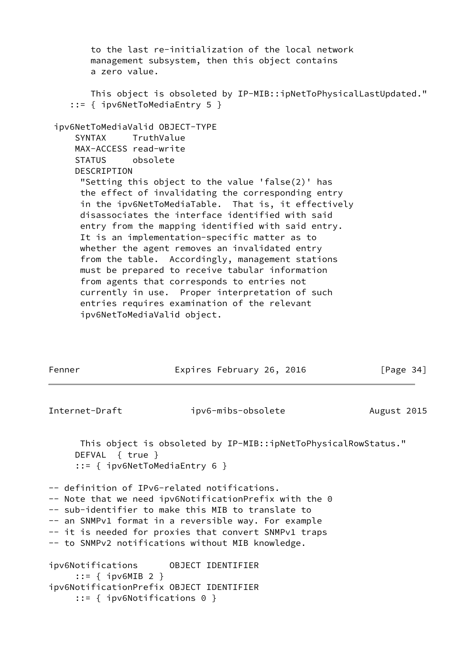to the last re-initialization of the local network management subsystem, then this object contains a zero value. This object is obsoleted by IP-MIB::ipNetToPhysicalLastUpdated." ::= { ipv6NetToMediaEntry 5 } ipv6NetToMediaValid OBJECT-TYPE SYNTAX TruthValue MAX-ACCESS read-write STATUS obsolete DESCRIPTION "Setting this object to the value 'false(2)' has the effect of invalidating the corresponding entry in the ipv6NetToMediaTable. That is, it effectively disassociates the interface identified with said entry from the mapping identified with said entry. It is an implementation-specific matter as to whether the agent removes an invalidated entry from the table. Accordingly, management stations must be prepared to receive tabular information from agents that corresponds to entries not currently in use. Proper interpretation of such entries requires examination of the relevant ipv6NetToMediaValid object. Fenner Expires February 26, 2016 [Page 34] Internet-Draft ipv6-mibs-obsolete August 2015 This object is obsoleted by IP-MIB::ipNetToPhysicalRowStatus." DEFVAL { true } ::= { ipv6NetToMediaEntry 6 } -- definition of IPv6-related notifications. -- Note that we need ipv6NotificationPrefix with the 0 -- sub-identifier to make this MIB to translate to -- an SNMPv1 format in a reversible way. For example -- it is needed for proxies that convert SNMPv1 traps -- to SNMPv2 notifications without MIB knowledge.

ipv6Notifications OBJECT IDENTIFIER ::= { ipv6MIB 2 } ipv6NotificationPrefix OBJECT IDENTIFIER ::= { ipv6Notifications 0 }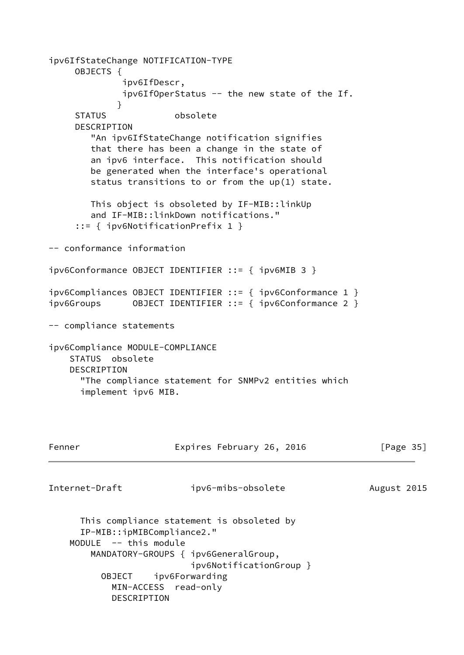ipv6IfStateChange NOTIFICATION-TYPE OBJECTS { ipv6IfDescr, ipv6IfOperStatus -- the new state of the If. } STATUS obsolete DESCRIPTION "An ipv6IfStateChange notification signifies that there has been a change in the state of an ipv6 interface. This notification should be generated when the interface's operational status transitions to or from the up(1) state. This object is obsoleted by IF-MIB::linkUp and IF-MIB::linkDown notifications." ::= { ipv6NotificationPrefix 1 } -- conformance information ipv6Conformance OBJECT IDENTIFIER ::= { ipv6MIB 3 } ipv6Compliances OBJECT IDENTIFIER ::= { ipv6Conformance 1 } ipv6Groups OBJECT IDENTIFIER ::= { ipv6Conformance 2 } -- compliance statements ipv6Compliance MODULE-COMPLIANCE STATUS obsolete DESCRIPTION "The compliance statement for SNMPv2 entities which implement ipv6 MIB. Fenner Expires February 26, 2016 [Page 35] Internet-Draft ipv6-mibs-obsolete August 2015 This compliance statement is obsoleted by IP-MIB::ipMIBCompliance2." MODULE -- this module MANDATORY-GROUPS { ipv6GeneralGroup, ipv6NotificationGroup } OBJECT ipv6Forwarding

> MIN-ACCESS read-only DESCRIPTION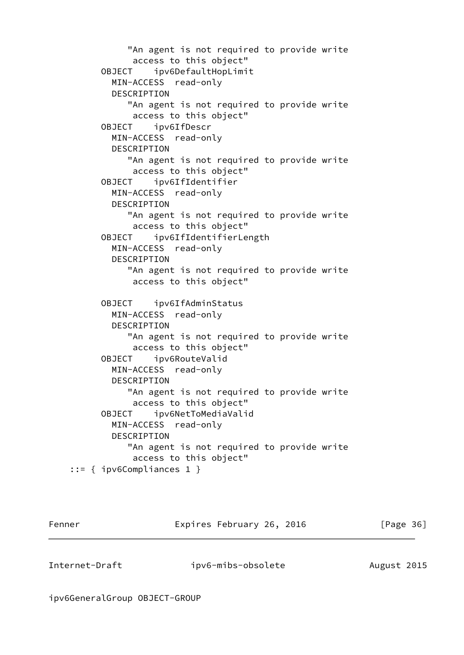"An agent is not required to provide write access to this object" OBJECT ipv6DefaultHopLimit MIN-ACCESS read-only DESCRIPTION "An agent is not required to provide write access to this object" OBJECT ipv6IfDescr MIN-ACCESS read-only DESCRIPTION "An agent is not required to provide write access to this object" OBJECT ipv6IfIdentifier MIN-ACCESS read-only DESCRIPTION "An agent is not required to provide write access to this object" OBJECT ipv6IfIdentifierLength MIN-ACCESS read-only DESCRIPTION "An agent is not required to provide write access to this object" OBJECT ipv6IfAdminStatus MIN-ACCESS read-only DESCRIPTION "An agent is not required to provide write access to this object" OBJECT ipv6RouteValid MIN-ACCESS read-only DESCRIPTION "An agent is not required to provide write access to this object" OBJECT ipv6NetToMediaValid MIN-ACCESS read-only DESCRIPTION "An agent is not required to provide write access to this object" ::= { ipv6Compliances 1 }

Fenner Expires February 26, 2016 [Page 36]

Internet-Draft ipv6-mibs-obsolete August 2015

ipv6GeneralGroup OBJECT-GROUP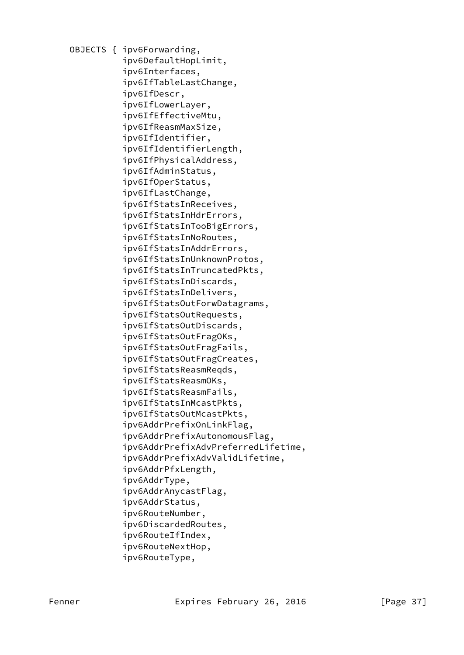OBJECTS { ipv6Forwarding, ipv6DefaultHopLimit, ipv6Interfaces, ipv6IfTableLastChange, ipv6IfDescr, ipv6IfLowerLayer, ipv6IfEffectiveMtu, ipv6IfReasmMaxSize, ipv6IfIdentifier, ipv6IfIdentifierLength, ipv6IfPhysicalAddress, ipv6IfAdminStatus, ipv6IfOperStatus, ipv6IfLastChange, ipv6IfStatsInReceives, ipv6IfStatsInHdrErrors, ipv6IfStatsInTooBigErrors, ipv6IfStatsInNoRoutes, ipv6IfStatsInAddrErrors, ipv6IfStatsInUnknownProtos, ipv6IfStatsInTruncatedPkts, ipv6IfStatsInDiscards, ipv6IfStatsInDelivers, ipv6IfStatsOutForwDatagrams, ipv6IfStatsOutRequests, ipv6IfStatsOutDiscards, ipv6IfStatsOutFragOKs, ipv6IfStatsOutFragFails, ipv6IfStatsOutFragCreates, ipv6IfStatsReasmReqds, ipv6IfStatsReasmOKs, ipv6IfStatsReasmFails, ipv6IfStatsInMcastPkts, ipv6IfStatsOutMcastPkts, ipv6AddrPrefixOnLinkFlag, ipv6AddrPrefixAutonomousFlag, ipv6AddrPrefixAdvPreferredLifetime, ipv6AddrPrefixAdvValidLifetime, ipv6AddrPfxLength, ipv6AddrType, ipv6AddrAnycastFlag, ipv6AddrStatus, ipv6RouteNumber, ipv6DiscardedRoutes, ipv6RouteIfIndex, ipv6RouteNextHop, ipv6RouteType,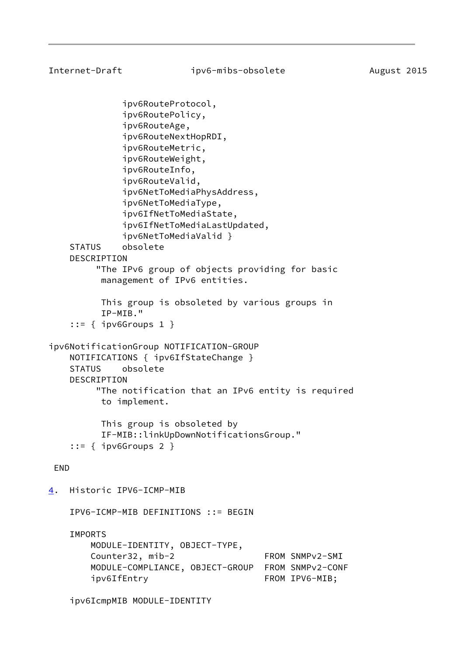Internet-Draft ipv6-mibs-obsolete August 2015 ipv6RouteProtocol, ipv6RoutePolicy, ipv6RouteAge, ipv6RouteNextHopRDI, ipv6RouteMetric, ipv6RouteWeight, ipv6RouteInfo, ipv6RouteValid, ipv6NetToMediaPhysAddress, ipv6NetToMediaType, ipv6IfNetToMediaState, ipv6IfNetToMediaLastUpdated, ipv6NetToMediaValid } STATUS obsolete DESCRIPTION "The IPv6 group of objects providing for basic management of IPv6 entities. This group is obsoleted by various groups in IP-MIB." ::= { ipv6Groups 1 } ipv6NotificationGroup NOTIFICATION-GROUP NOTIFICATIONS { ipv6IfStateChange } STATUS obsolete DESCRIPTION "The notification that an IPv6 entity is required to implement. This group is obsoleted by IF-MIB::linkUpDownNotificationsGroup." ::= { ipv6Groups 2 } END

<span id="page-42-0"></span>[4](#page-42-0). Historic IPV6-ICMP-MIB

IPV6-ICMP-MIB DEFINITIONS ::= BEGIN

IMPORTS

 MODULE-IDENTITY, OBJECT-TYPE, Counter32, mib-2 FROM SNMPv2-SMI MODULE-COMPLIANCE, OBJECT-GROUP FROM SNMPv2-CONF ipv6IfEntry FROM IPV6-MIB;

ipv6IcmpMIB MODULE-IDENTITY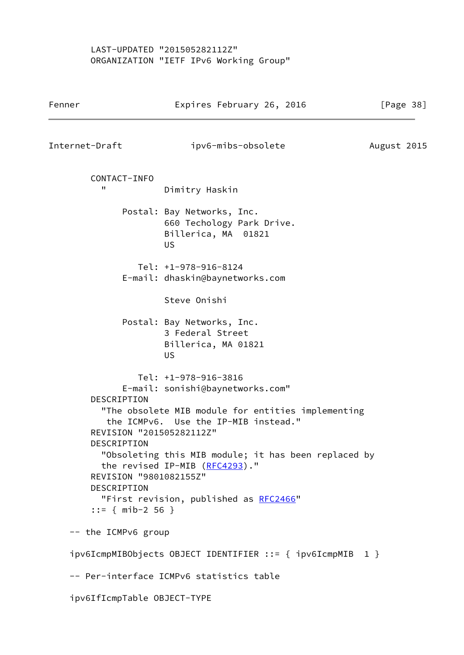## LAST-UPDATED "201505282112Z" ORGANIZATION "IETF IPv6 Working Group"

| Fenner                                                                                                                | Expires February 26, 2016                                                                                                                                                                                                                                                                  | [Page 38]   |
|-----------------------------------------------------------------------------------------------------------------------|--------------------------------------------------------------------------------------------------------------------------------------------------------------------------------------------------------------------------------------------------------------------------------------------|-------------|
| Internet-Draft                                                                                                        | ipv6-mibs-obsolete                                                                                                                                                                                                                                                                         | August 2015 |
| CONTACT-INFO<br>п                                                                                                     | Dimitry Haskin                                                                                                                                                                                                                                                                             |             |
|                                                                                                                       | Postal: Bay Networks, Inc.<br>660 Techology Park Drive.<br>Billerica, MA 01821<br><b>US</b>                                                                                                                                                                                                |             |
|                                                                                                                       | $Tel: +1-978-916-8124$<br>E-mail: dhaskin@baynetworks.com                                                                                                                                                                                                                                  |             |
|                                                                                                                       | Steve Onishi                                                                                                                                                                                                                                                                               |             |
|                                                                                                                       | Postal: Bay Networks, Inc.<br>3 Federal Street<br>Billerica, MA 01821<br>US                                                                                                                                                                                                                |             |
| DESCRIPTION<br>REVISION "201505282112Z"<br>DESCRIPTION<br>REVISION "9801082155Z"<br>DESCRIPTION<br>$::=$ { mib-2 56 } | Tel: +1-978-916-3816<br>E-mail: sonishi@baynetworks.com"<br>"The obsolete MIB module for entities implementing<br>the ICMPv6. Use the IP-MIB instead."<br>"Obsoleting this MIB module; it has been replaced by<br>the revised IP-MIB (RFC4293)."<br>"First revision, published as RFC2466" |             |
| -- the ICMPv6 group                                                                                                   |                                                                                                                                                                                                                                                                                            |             |
|                                                                                                                       | ipv6IcmpMIBObjects OBJECT IDENTIFIER ::= { ipv6IcmpMIB 1 }                                                                                                                                                                                                                                 |             |
|                                                                                                                       | -- Per-interface ICMPv6 statistics table                                                                                                                                                                                                                                                   |             |
| ipv6IfIcmpTable OBJECT-TYPE                                                                                           |                                                                                                                                                                                                                                                                                            |             |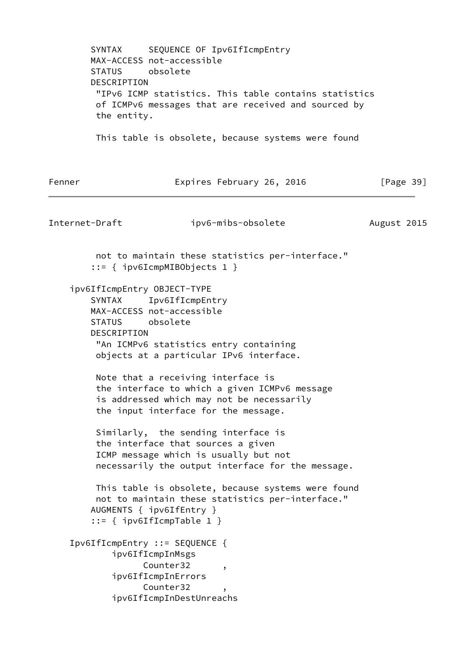SYNTAX SEQUENCE OF Ipv6IfIcmpEntry MAX-ACCESS not-accessible STATUS obsolete DESCRIPTION "IPv6 ICMP statistics. This table contains statistics of ICMPv6 messages that are received and sourced by the entity. This table is obsolete, because systems were found Fenner Expires February 26, 2016 [Page 39] Internet-Draft ipv6-mibs-obsolete August 2015 not to maintain these statistics per-interface." ::= { ipv6IcmpMIBObjects 1 } ipv6IfIcmpEntry OBJECT-TYPE SYNTAX Ipv6IfIcmpEntry MAX-ACCESS not-accessible STATUS obsolete DESCRIPTION "An ICMPv6 statistics entry containing objects at a particular IPv6 interface. Note that a receiving interface is the interface to which a given ICMPv6 message is addressed which may not be necessarily the input interface for the message. Similarly, the sending interface is the interface that sources a given ICMP message which is usually but not necessarily the output interface for the message. This table is obsolete, because systems were found not to maintain these statistics per-interface." AUGMENTS { ipv6IfEntry } ::= { ipv6IfIcmpTable 1 } Ipv6IfIcmpEntry ::= SEQUENCE { ipv6IfIcmpInMsgs Counter32, ipv6IfIcmpInErrors Counter32 ipv6IfIcmpInDestUnreachs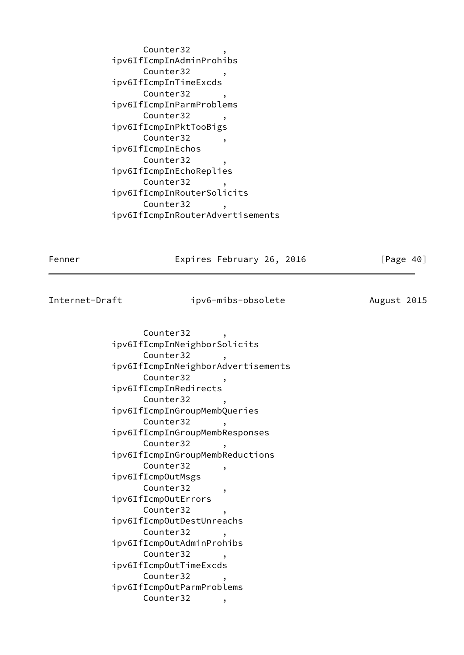Counter32 ipv6IfIcmpInAdminProhibs Counter32 ipv6IfIcmpInTimeExcds Counter32 ipv6IfIcmpInParmProblems Counter32, ipv6IfIcmpInPktTooBigs Counter32, ipv6IfIcmpInEchos Counter32 ipv6IfIcmpInEchoReplies Counter32 ipv6IfIcmpInRouterSolicits Counter32 ipv6IfIcmpInRouterAdvertisements

Fenner **Expires February 26, 2016** [Page 40]

Internet-Draft ipv6-mibs-obsolete August 2015

Counter32 ipv6IfIcmpInNeighborSolicits Counter32, ipv6IfIcmpInNeighborAdvertisements Counter32 ipv6IfIcmpInRedirects Counter32, ipv6IfIcmpInGroupMembQueries Counter32, ipv6IfIcmpInGroupMembResponses Counter32, ipv6IfIcmpInGroupMembReductions Counter32, ipv6IfIcmpOutMsgs Counter32, ipv6IfIcmpOutErrors Counter32, ipv6IfIcmpOutDestUnreachs Counter32 ipv6IfIcmpOutAdminProhibs Counter32 ipv6IfIcmpOutTimeExcds Counter32 ipv6IfIcmpOutParmProblems Counter32,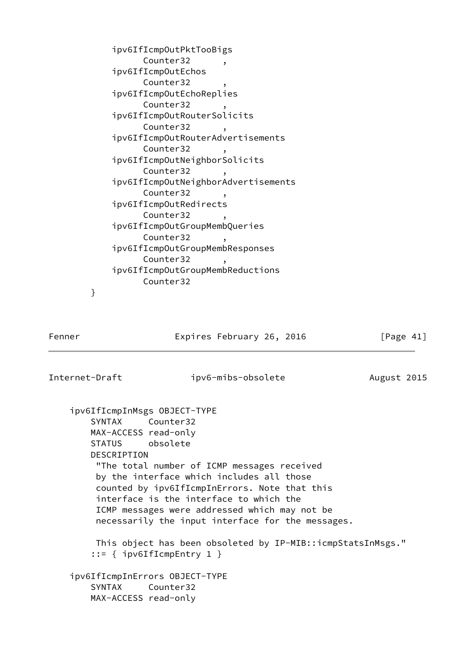|   | ipv6IfIcmpOutPktTooBigs<br>Counter32           |
|---|------------------------------------------------|
|   | $\overline{\phantom{a}}$<br>ipv6IfIcmpOutEchos |
|   | Counter32<br>,                                 |
|   | ipv6IfIcmpOutEchoReplies                       |
|   | Counter32<br>$\overline{\phantom{a}}$          |
|   | ipv6IfIcmp0utRouterSolicits                    |
|   | Counter32<br>$\overline{\phantom{a}}$          |
|   | ipv6IfIcmpOutRouterAdvertisements              |
|   | Counter32<br>$\overline{\phantom{a}}$          |
|   | ipv6IfIcmp0utNeighborSolicits                  |
|   | Counter32<br>$\bullet$                         |
|   | ipv6IfIcmpOutNeighborAdvertisements            |
|   | Counter32<br>$\overline{\phantom{a}}$          |
|   | ipv6IfIcmpOutRedirects                         |
|   | Counter32<br>٠                                 |
|   | ipv6IfIcmpOutGroupMembQueries                  |
|   | Counter32<br>$\overline{\phantom{a}}$          |
|   | ipv6IfIcmp0utGroupMembResponses                |
|   | Counter32<br>$\overline{\phantom{a}}$          |
|   | ipv6IfIcmpOutGroupMembReductions               |
|   | Counter32                                      |
| } |                                                |

Fenner Expires February 26, 2016 [Page 41]

Internet-Draft ipv6-mibs-obsolete August 2015

 ipv6IfIcmpInMsgs OBJECT-TYPE SYNTAX Counter32 MAX-ACCESS read-only STATUS obsolete DESCRIPTION "The total number of ICMP messages received by the interface which includes all those counted by ipv6IfIcmpInErrors. Note that this interface is the interface to which the ICMP messages were addressed which may not be necessarily the input interface for the messages. This object has been obsoleted by IP-MIB::icmpStatsInMsgs." ::= { ipv6IfIcmpEntry 1 } ipv6IfIcmpInErrors OBJECT-TYPE SYNTAX Counter32 MAX-ACCESS read-only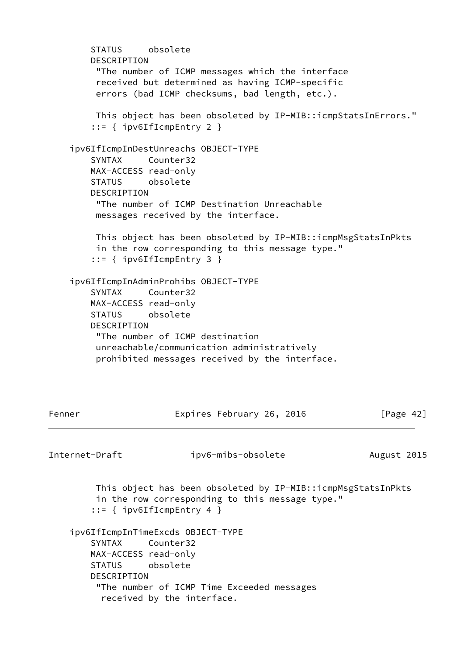STATUS obsolete DESCRIPTION "The number of ICMP messages which the interface received but determined as having ICMP-specific errors (bad ICMP checksums, bad length, etc.). This object has been obsoleted by IP-MIB::icmpStatsInErrors." ::= { ipv6IfIcmpEntry 2 } ipv6IfIcmpInDestUnreachs OBJECT-TYPE SYNTAX Counter32 MAX-ACCESS read-only STATUS obsolete DESCRIPTION "The number of ICMP Destination Unreachable messages received by the interface. This object has been obsoleted by IP-MIB::icmpMsgStatsInPkts in the row corresponding to this message type." ::= { ipv6IfIcmpEntry 3 } ipv6IfIcmpInAdminProhibs OBJECT-TYPE SYNTAX Counter32 MAX-ACCESS read-only STATUS obsolete DESCRIPTION "The number of ICMP destination unreachable/communication administratively prohibited messages received by the interface. Fenner Expires February 26, 2016 [Page 42] Internet-Draft ipv6-mibs-obsolete August 2015 This object has been obsoleted by IP-MIB::icmpMsgStatsInPkts in the row corresponding to this message type." ::= { ipv6IfIcmpEntry 4 } ipv6IfIcmpInTimeExcds OBJECT-TYPE SYNTAX Counter32 MAX-ACCESS read-only STATUS obsolete DESCRIPTION "The number of ICMP Time Exceeded messages received by the interface.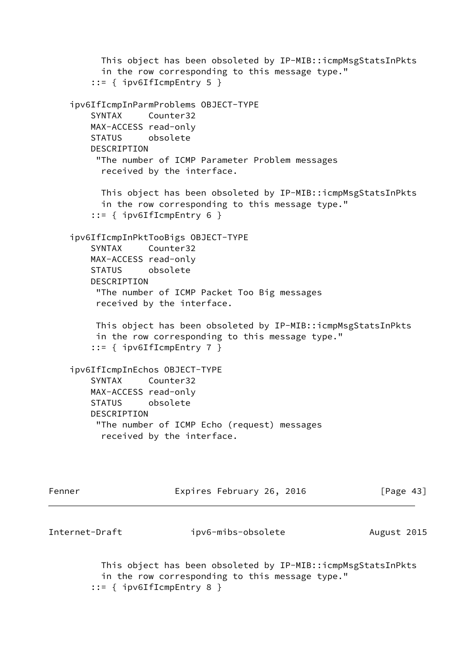```
 This object has been obsoleted by IP-MIB::icmpMsgStatsInPkts
       in the row corresponding to this message type."
     ::= { ipv6IfIcmpEntry 5 }
 ipv6IfIcmpInParmProblems OBJECT-TYPE
     SYNTAX Counter32
    MAX-ACCESS read-only
    STATUS obsolete
   DESCRIPTION
      "The number of ICMP Parameter Problem messages
       received by the interface.
      This object has been obsoleted by IP-MIB::icmpMsgStatsInPkts
       in the row corresponding to this message type."
     ::= { ipv6IfIcmpEntry 6 }
 ipv6IfIcmpInPktTooBigs OBJECT-TYPE
     SYNTAX Counter32
    MAX-ACCESS read-only
    STATUS obsolete
    DESCRIPTION
      "The number of ICMP Packet Too Big messages
      received by the interface.
     This object has been obsoleted by IP-MIB::icmpMsgStatsInPkts
      in the row corresponding to this message type."
     ::= { ipv6IfIcmpEntry 7 }
 ipv6IfIcmpInEchos OBJECT-TYPE
    SYNTAX Counter32
    MAX-ACCESS read-only
    STATUS obsolete
    DESCRIPTION
      "The number of ICMP Echo (request) messages
       received by the interface.
```

| Fenner         | Expires February 26, 2016                                                                                       | [Page 43]   |
|----------------|-----------------------------------------------------------------------------------------------------------------|-------------|
| Internet-Draft | ipv6-mibs-obsolete                                                                                              | August 2015 |
|                | This object has been obsoleted by IP-MIB::icmpMsgStatsInPkts<br>in the row corresponding to this message type." |             |

```
 ::= { ipv6IfIcmpEntry 8 }
```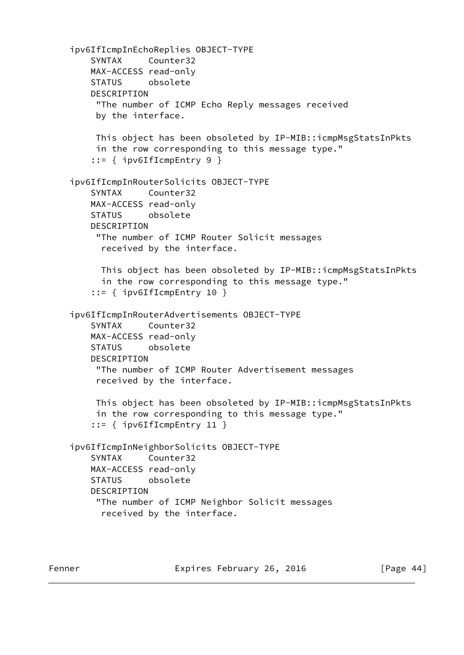```
 ipv6IfIcmpInEchoReplies OBJECT-TYPE
     SYNTAX Counter32
    MAX-ACCESS read-only
    STATUS obsolete
    DESCRIPTION
      "The number of ICMP Echo Reply messages received
      by the interface.
      This object has been obsoleted by IP-MIB::icmpMsgStatsInPkts
      in the row corresponding to this message type."
     ::= { ipv6IfIcmpEntry 9 }
 ipv6IfIcmpInRouterSolicits OBJECT-TYPE
     SYNTAX Counter32
    MAX-ACCESS read-only
    STATUS obsolete
    DESCRIPTION
      "The number of ICMP Router Solicit messages
       received by the interface.
       This object has been obsoleted by IP-MIB::icmpMsgStatsInPkts
       in the row corresponding to this message type."
     ::= { ipv6IfIcmpEntry 10 }
 ipv6IfIcmpInRouterAdvertisements OBJECT-TYPE
     SYNTAX Counter32
    MAX-ACCESS read-only
    STATUS obsolete
    DESCRIPTION
      "The number of ICMP Router Advertisement messages
      received by the interface.
     This object has been obsoleted by IP-MIB::icmpMsgStatsInPkts
      in the row corresponding to this message type."
     ::= { ipv6IfIcmpEntry 11 }
 ipv6IfIcmpInNeighborSolicits OBJECT-TYPE
     SYNTAX Counter32
    MAX-ACCESS read-only
    STATUS obsolete
    DESCRIPTION
      "The number of ICMP Neighbor Solicit messages
       received by the interface.
```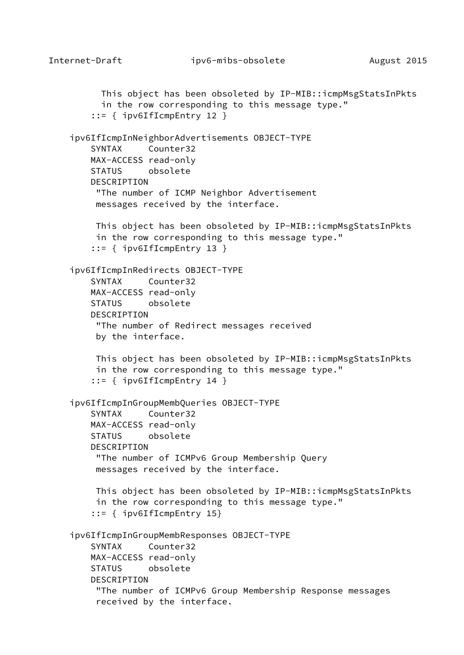```
 This object has been obsoleted by IP-MIB::icmpMsgStatsInPkts
       in the row corresponding to this message type."
     ::= { ipv6IfIcmpEntry 12 }
 ipv6IfIcmpInNeighborAdvertisements OBJECT-TYPE
    SYNTAX Counter32
    MAX-ACCESS read-only
    STATUS obsolete
    DESCRIPTION
      "The number of ICMP Neighbor Advertisement
      messages received by the interface.
     This object has been obsoleted by IP-MIB::icmpMsgStatsInPkts
      in the row corresponding to this message type."
     ::= { ipv6IfIcmpEntry 13 }
 ipv6IfIcmpInRedirects OBJECT-TYPE
     SYNTAX Counter32
    MAX-ACCESS read-only
    STATUS obsolete
    DESCRIPTION
      "The number of Redirect messages received
      by the interface.
     This object has been obsoleted by IP-MIB::icmpMsgStatsInPkts
      in the row corresponding to this message type."
     ::= { ipv6IfIcmpEntry 14 }
 ipv6IfIcmpInGroupMembQueries OBJECT-TYPE
     SYNTAX Counter32
    MAX-ACCESS read-only
    STATUS obsolete
    DESCRIPTION
      "The number of ICMPv6 Group Membership Query
     messages received by the interface.
     This object has been obsoleted by IP-MIB::icmpMsgStatsInPkts
      in the row corresponding to this message type."
     ::= { ipv6IfIcmpEntry 15}
 ipv6IfIcmpInGroupMembResponses OBJECT-TYPE
    SYNTAX Counter32
    MAX-ACCESS read-only
    STATUS obsolete
    DESCRIPTION
      "The number of ICMPv6 Group Membership Response messages
      received by the interface.
```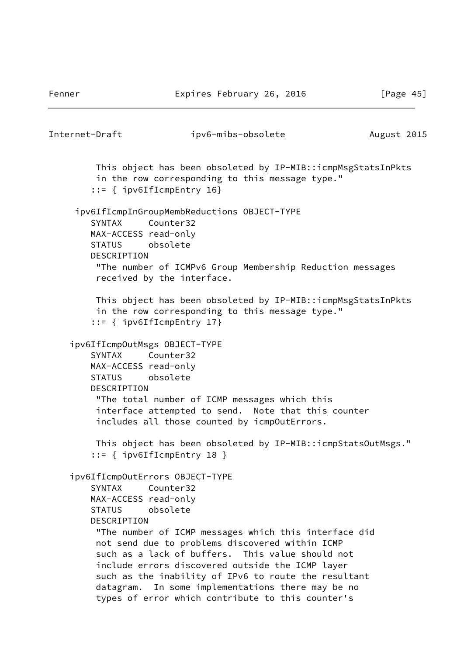Fenner Expires February 26, 2016 [Page 45]

```
Internet-Draft ipv6-mibs-obsolete August 2015
          This object has been obsoleted by IP-MIB::icmpMsgStatsInPkts
          in the row corresponding to this message type."
         ::= { ipv6IfIcmpEntry 16}
      ipv6IfIcmpInGroupMembReductions OBJECT-TYPE
         SYNTAX Counter32
         MAX-ACCESS read-only
         STATUS obsolete
         DESCRIPTION
          "The number of ICMPv6 Group Membership Reduction messages
          received by the interface.
         This object has been obsoleted by IP-MIB::icmpMsgStatsInPkts
          in the row corresponding to this message type."
         ::= { ipv6IfIcmpEntry 17}
     ipv6IfIcmpOutMsgs OBJECT-TYPE
         SYNTAX Counter32
         MAX-ACCESS read-only
         STATUS obsolete
         DESCRIPTION
          "The total number of ICMP messages which this
          interface attempted to send. Note that this counter
          includes all those counted by icmpOutErrors.
          This object has been obsoleted by IP-MIB::icmpStatsOutMsgs."
         ::= { ipv6IfIcmpEntry 18 }
     ipv6IfIcmpOutErrors OBJECT-TYPE
         SYNTAX Counter32
         MAX-ACCESS read-only
         STATUS obsolete
         DESCRIPTION
          "The number of ICMP messages which this interface did
          not send due to problems discovered within ICMP
          such as a lack of buffers. This value should not
          include errors discovered outside the ICMP layer
          such as the inability of IPv6 to route the resultant
          datagram. In some implementations there may be no
          types of error which contribute to this counter's
```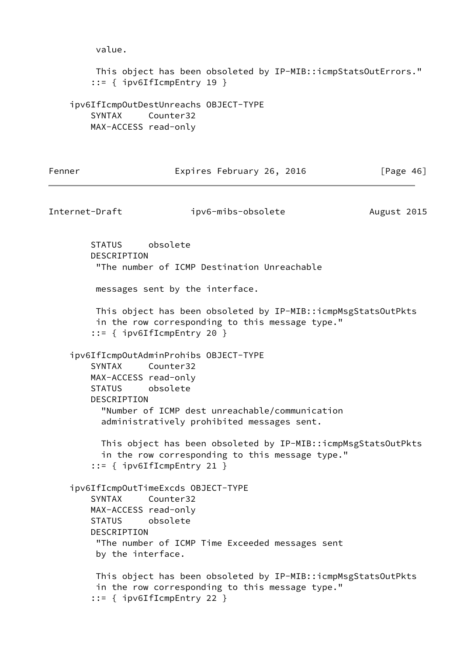```
 value.
```

```
 This object has been obsoleted by IP-MIB::icmpStatsOutErrors."
 ::= { ipv6IfIcmpEntry 19 }
```

```
 ipv6IfIcmpOutDestUnreachs OBJECT-TYPE
     SYNTAX Counter32
    MAX-ACCESS read-only
```

| Fenner | Expires February 26, 2016 | [Page $46$ ] |
|--------|---------------------------|--------------|
|--------|---------------------------|--------------|

```
Internet-Draft ipv6-mibs-obsolete August 2015
        STATUS obsolete
        DESCRIPTION
         "The number of ICMP Destination Unreachable
         messages sent by the interface.
         This object has been obsoleted by IP-MIB::icmpMsgStatsOutPkts
         in the row corresponding to this message type."
         ::= { ipv6IfIcmpEntry 20 }
    ipv6IfIcmpOutAdminProhibs OBJECT-TYPE
        SYNTAX Counter32
        MAX-ACCESS read-only
        STATUS obsolete
        DESCRIPTION
          "Number of ICMP dest unreachable/communication
          administratively prohibited messages sent.
          This object has been obsoleted by IP-MIB::icmpMsgStatsOutPkts
          in the row corresponding to this message type."
         ::= { ipv6IfIcmpEntry 21 }
    ipv6IfIcmpOutTimeExcds OBJECT-TYPE
        SYNTAX Counter32
        MAX-ACCESS read-only
        STATUS obsolete
        DESCRIPTION
         "The number of ICMP Time Exceeded messages sent
         by the interface.
         This object has been obsoleted by IP-MIB::icmpMsgStatsOutPkts
         in the row corresponding to this message type."
         ::= { ipv6IfIcmpEntry 22 }
```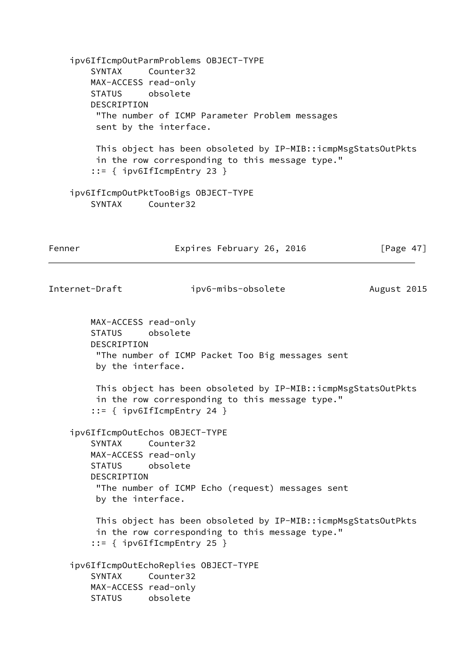ipv6IfIcmpOutParmProblems OBJECT-TYPE SYNTAX Counter32 MAX-ACCESS read-only STATUS obsolete DESCRIPTION "The number of ICMP Parameter Problem messages sent by the interface. This object has been obsoleted by IP-MIB::icmpMsgStatsOutPkts in the row corresponding to this message type." ::= { ipv6IfIcmpEntry 23 } ipv6IfIcmpOutPktTooBigs OBJECT-TYPE SYNTAX Counter32 Fenner **Expires February 26, 2016** [Page 47] Internet-Draft ipv6-mibs-obsolete August 2015 MAX-ACCESS read-only STATUS obsolete DESCRIPTION "The number of ICMP Packet Too Big messages sent by the interface. This object has been obsoleted by IP-MIB::icmpMsgStatsOutPkts in the row corresponding to this message type." ::= { ipv6IfIcmpEntry 24 } ipv6IfIcmpOutEchos OBJECT-TYPE SYNTAX Counter32 MAX-ACCESS read-only STATUS obsolete DESCRIPTION "The number of ICMP Echo (request) messages sent by the interface. This object has been obsoleted by IP-MIB::icmpMsgStatsOutPkts in the row corresponding to this message type." ::= { ipv6IfIcmpEntry 25 } ipv6IfIcmpOutEchoReplies OBJECT-TYPE SYNTAX Counter32 MAX-ACCESS read-only STATUS obsolete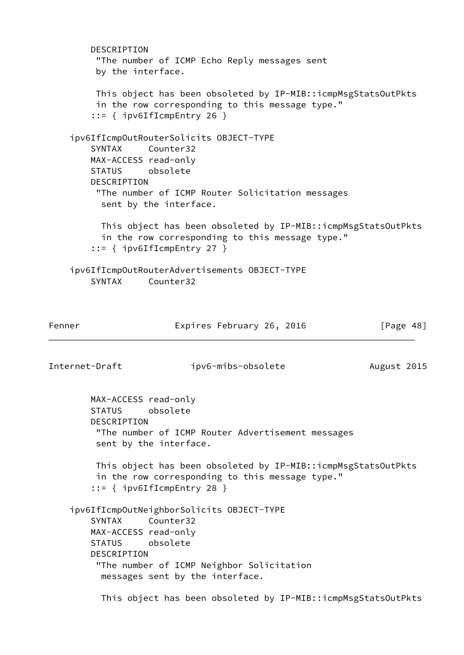DESCRIPTION "The number of ICMP Echo Reply messages sent by the interface. This object has been obsoleted by IP-MIB::icmpMsgStatsOutPkts in the row corresponding to this message type." ::= { ipv6IfIcmpEntry 26 } ipv6IfIcmpOutRouterSolicits OBJECT-TYPE SYNTAX Counter32 MAX-ACCESS read-only STATUS obsolete DESCRIPTION "The number of ICMP Router Solicitation messages sent by the interface. This object has been obsoleted by IP-MIB::icmpMsgStatsOutPkts in the row corresponding to this message type." ::= { ipv6IfIcmpEntry 27 } ipv6IfIcmpOutRouterAdvertisements OBJECT-TYPE SYNTAX Counter32 Fenner Expires February 26, 2016 [Page 48] Internet-Draft ipv6-mibs-obsolete August 2015 MAX-ACCESS read-only STATUS obsolete DESCRIPTION "The number of ICMP Router Advertisement messages sent by the interface. This object has been obsoleted by IP-MIB::icmpMsgStatsOutPkts in the row corresponding to this message type." ::= { ipv6IfIcmpEntry 28 } ipv6IfIcmpOutNeighborSolicits OBJECT-TYPE SYNTAX Counter32 MAX-ACCESS read-only STATUS obsolete DESCRIPTION "The number of ICMP Neighbor Solicitation messages sent by the interface. This object has been obsoleted by IP-MIB::icmpMsgStatsOutPkts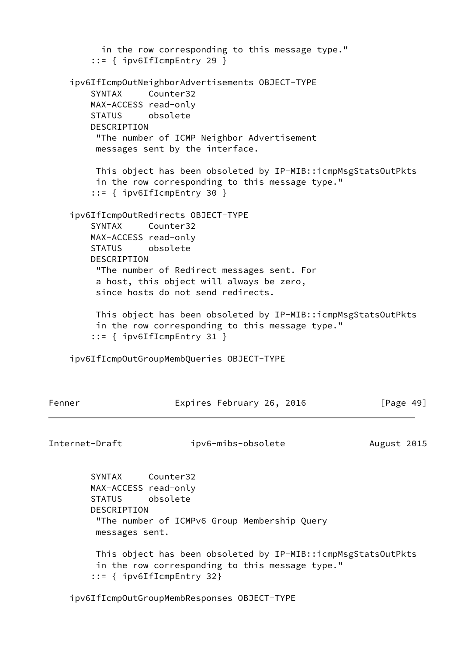in the row corresponding to this message type." ::= { ipv6IfIcmpEntry 29 } ipv6IfIcmpOutNeighborAdvertisements OBJECT-TYPE SYNTAX Counter32 MAX-ACCESS read-only STATUS obsolete DESCRIPTION "The number of ICMP Neighbor Advertisement messages sent by the interface. This object has been obsoleted by IP-MIB::icmpMsgStatsOutPkts in the row corresponding to this message type." ::= { ipv6IfIcmpEntry 30 } ipv6IfIcmpOutRedirects OBJECT-TYPE SYNTAX Counter32 MAX-ACCESS read-only STATUS obsolete DESCRIPTION "The number of Redirect messages sent. For a host, this object will always be zero, since hosts do not send redirects. This object has been obsoleted by IP-MIB::icmpMsgStatsOutPkts in the row corresponding to this message type." ::= { ipv6IfIcmpEntry 31 } ipv6IfIcmpOutGroupMembQueries OBJECT-TYPE Fenner Expires February 26, 2016 [Page 49] Internet-Draft ipv6-mibs-obsolete August 2015 SYNTAX Counter32 MAX-ACCESS read-only STATUS obsolete

 DESCRIPTION "The number of ICMPv6 Group Membership Query messages sent.

 This object has been obsoleted by IP-MIB::icmpMsgStatsOutPkts in the row corresponding to this message type." ::= { ipv6IfIcmpEntry 32}

ipv6IfIcmpOutGroupMembResponses OBJECT-TYPE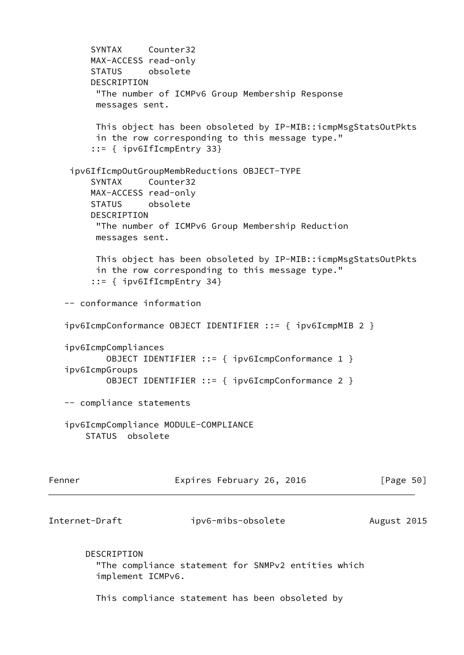```
 SYNTAX Counter32
        MAX-ACCESS read-only
        STATUS obsolete
        DESCRIPTION
         "The number of ICMPv6 Group Membership Response
         messages sent.
         This object has been obsoleted by IP-MIB::icmpMsgStatsOutPkts
         in the row corresponding to this message type."
         ::= { ipv6IfIcmpEntry 33}
     ipv6IfIcmpOutGroupMembReductions OBJECT-TYPE
        SYNTAX Counter32
        MAX-ACCESS read-only
        STATUS obsolete
        DESCRIPTION
         "The number of ICMPv6 Group Membership Reduction
         messages sent.
         This object has been obsoleted by IP-MIB::icmpMsgStatsOutPkts
         in the row corresponding to this message type."
         ::= { ipv6IfIcmpEntry 34}
   -- conformance information
   ipv6IcmpConformance OBJECT IDENTIFIER ::= { ipv6IcmpMIB 2 }
    ipv6IcmpCompliances
           OBJECT IDENTIFIER ::= { ipv6IcmpConformance 1 }
    ipv6IcmpGroups
           OBJECT IDENTIFIER ::= { ipv6IcmpConformance 2 }
   -- compliance statements
    ipv6IcmpCompliance MODULE-COMPLIANCE
       STATUS obsolete
Fenner Expires February 26, 2016 [Page 50]
Internet-Draft ipv6-mibs-obsolete August 2015
       DESCRIPTION
         "The compliance statement for SNMPv2 entities which
         implement ICMPv6.
         This compliance statement has been obsoleted by
```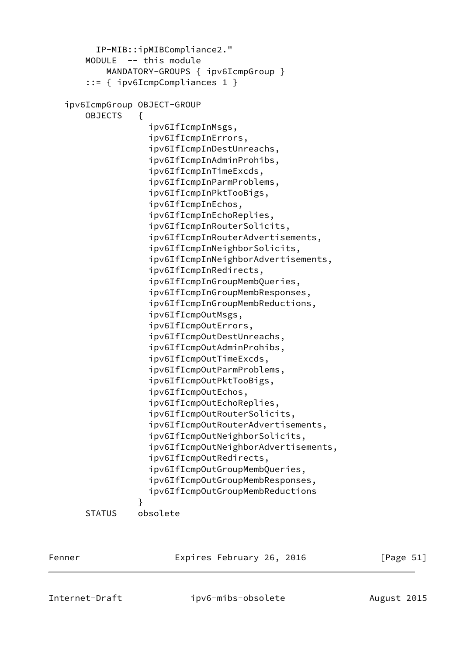```
 IP-MIB::ipMIBCompliance2."
        MODULE -- this module
            MANDATORY-GROUPS { ipv6IcmpGroup }
        ::= { ipv6IcmpCompliances 1 }
    ipv6IcmpGroup OBJECT-GROUP
        OBJECTS {
                    ipv6IfIcmpInMsgs,
                    ipv6IfIcmpInErrors,
                    ipv6IfIcmpInDestUnreachs,
                    ipv6IfIcmpInAdminProhibs,
                    ipv6IfIcmpInTimeExcds,
                    ipv6IfIcmpInParmProblems,
                    ipv6IfIcmpInPktTooBigs,
                    ipv6IfIcmpInEchos,
                    ipv6IfIcmpInEchoReplies,
                    ipv6IfIcmpInRouterSolicits,
                    ipv6IfIcmpInRouterAdvertisements,
                    ipv6IfIcmpInNeighborSolicits,
                    ipv6IfIcmpInNeighborAdvertisements,
                    ipv6IfIcmpInRedirects,
                    ipv6IfIcmpInGroupMembQueries,
                    ipv6IfIcmpInGroupMembResponses,
                    ipv6IfIcmpInGroupMembReductions,
                    ipv6IfIcmpOutMsgs,
                    ipv6IfIcmpOutErrors,
                    ipv6IfIcmpOutDestUnreachs,
                    ipv6IfIcmpOutAdminProhibs,
                    ipv6IfIcmpOutTimeExcds,
                    ipv6IfIcmpOutParmProblems,
                    ipv6IfIcmpOutPktTooBigs,
                    ipv6IfIcmpOutEchos,
                    ipv6IfIcmpOutEchoReplies,
                    ipv6IfIcmpOutRouterSolicits,
                    ipv6IfIcmpOutRouterAdvertisements,
                    ipv6IfIcmpOutNeighborSolicits,
                    ipv6IfIcmpOutNeighborAdvertisements,
                    ipv6IfIcmpOutRedirects,
                    ipv6IfIcmpOutGroupMembQueries,
                    ipv6IfIcmpOutGroupMembResponses,
                    ipv6IfIcmpOutGroupMembReductions
 }
        STATUS obsolete
```
Fenner Expires February 26, 2016 [Page 51]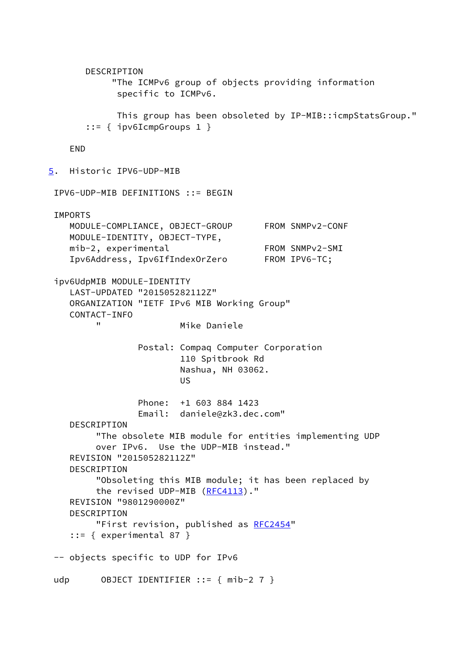```
 DESCRIPTION
            "The ICMPv6 group of objects providing information
             specific to ICMPv6.
             This group has been obsoleted by IP-MIB::icmpStatsGroup."
       ::= { ipv6IcmpGroups 1 }
    END
5. Historic IPV6-UDP-MIB
 IPV6-UDP-MIB DEFINITIONS ::= BEGIN
  IMPORTS
    MODULE-COMPLIANCE, OBJECT-GROUP FROM SNMPv2-CONF
    MODULE-IDENTITY, OBJECT-TYPE,
   mib-2, experimental FROM SNMPv2-SMI
    Ipv6Address, Ipv6IfIndexOrZero FROM IPV6-TC;
  ipv6UdpMIB MODULE-IDENTITY
    LAST-UPDATED "201505282112Z"
    ORGANIZATION "IETF IPv6 MIB Working Group"
    CONTACT-INFO
         " Mike Daniele
                Postal: Compaq Computer Corporation
                        110 Spitbrook Rd
                        Nashua, NH 03062.
US US US
                Phone: +1 603 884 1423
                Email: daniele@zk3.dec.com"
    DESCRIPTION
         "The obsolete MIB module for entities implementing UDP
         over IPv6. Use the UDP-MIB instead."
    REVISION "201505282112Z"
    DESCRIPTION
         "Obsoleting this MIB module; it has been replaced by
        RFC4113)."
    REVISION "9801290000Z"
    DESCRIPTION
        RFC2454"
    ::= { experimental 87 }
  -- objects specific to UDP for IPv6
 udp 0BJECT IDENTIFIER ::= { mib-2 7 }
```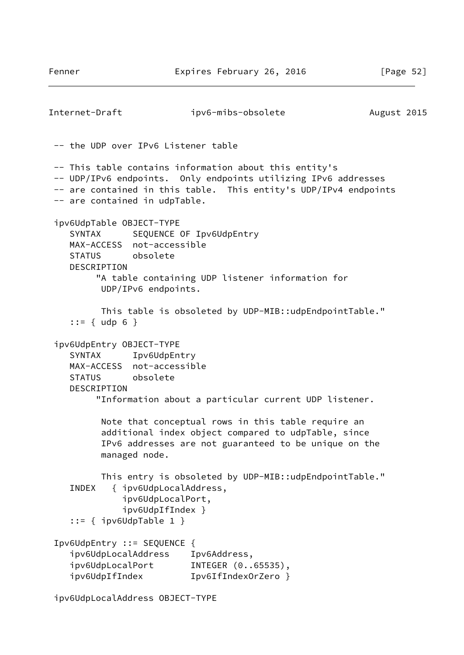```
Internet-Draft ipv6-mibs-obsolete August 2015
  -- the UDP over IPv6 Listener table
  -- This table contains information about this entity's
  -- UDP/IPv6 endpoints. Only endpoints utilizing IPv6 addresses
 -- are contained in this table. This entity's UDP/IPv4 endpoints
  -- are contained in udpTable.
  ipv6UdpTable OBJECT-TYPE
    SYNTAX SEQUENCE OF Ipv6UdpEntry
    MAX-ACCESS not-accessible
    STATUS obsolete
    DESCRIPTION
         "A table containing UDP listener information for
          UDP/IPv6 endpoints.
          This table is obsoleted by UDP-MIB::udpEndpointTable."
    ::= \{ udp 6 \} ipv6UdpEntry OBJECT-TYPE
    SYNTAX Ipv6UdpEntry
    MAX-ACCESS not-accessible
     STATUS obsolete
    DESCRIPTION
         "Information about a particular current UDP listener.
          Note that conceptual rows in this table require an
          additional index object compared to udpTable, since
          IPv6 addresses are not guaranteed to be unique on the
          managed node.
          This entry is obsoleted by UDP-MIB::udpEndpointTable."
     INDEX { ipv6UdpLocalAddress,
              ipv6UdpLocalPort,
              ipv6UdpIfIndex }
     ::= { ipv6UdpTable 1 }
  Ipv6UdpEntry ::= SEQUENCE {
    ipv6UdpLocalAddress Ipv6Address,
 ipv6UdpLocalPort INTEGER (0..65535),
 ipv6UdpIfIndex Ipv6IfIndexOrZero }
```
ipv6UdpLocalAddress OBJECT-TYPE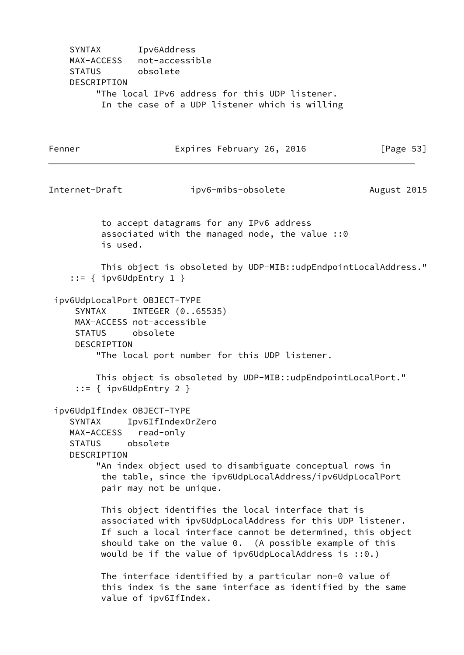SYNTAX Ipv6Address MAX-ACCESS not-accessible STATUS obsolete DESCRIPTION "The local IPv6 address for this UDP listener. In the case of a UDP listener which is willing

Fenner Expires February 26, 2016 [Page 53] Internet-Draft ipv6-mibs-obsolete August 2015 to accept datagrams for any IPv6 address associated with the managed node, the value ::0 is used. This object is obsoleted by UDP-MIB::udpEndpointLocalAddress." ::= { ipv6UdpEntry 1 } ipv6UdpLocalPort OBJECT-TYPE SYNTAX INTEGER (0..65535) MAX-ACCESS not-accessible STATUS obsolete DESCRIPTION "The local port number for this UDP listener. This object is obsoleted by UDP-MIB::udpEndpointLocalPort." ::= { ipv6UdpEntry 2 } ipv6UdpIfIndex OBJECT-TYPE SYNTAX Ipv6IfIndexOrZero MAX-ACCESS read-only STATUS obsolete DESCRIPTION "An index object used to disambiguate conceptual rows in the table, since the ipv6UdpLocalAddress/ipv6UdpLocalPort pair may not be unique. This object identifies the local interface that is associated with ipv6UdpLocalAddress for this UDP listener. If such a local interface cannot be determined, this object should take on the value 0. (A possible example of this would be if the value of ipv6UdpLocalAddress is ::0.) The interface identified by a particular non-0 value of this index is the same interface as identified by the same value of ipv6IfIndex.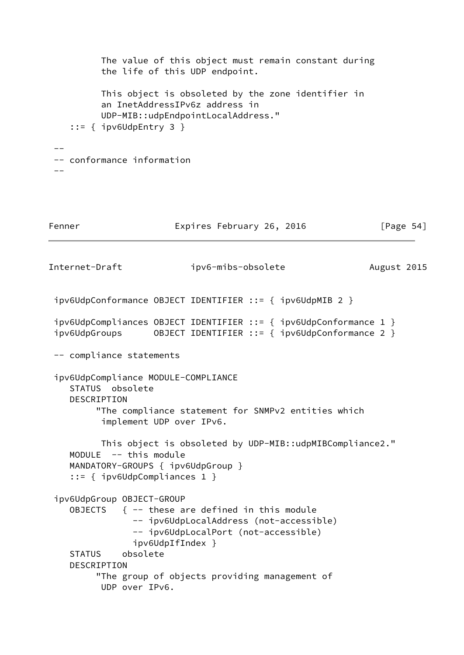```
 The value of this object must remain constant during
          the life of this UDP endpoint.
          This object is obsoleted by the zone identifier in
          an InetAddressIPv6z address in
          UDP-MIB::udpEndpointLocalAddress."
     ::= { ipv6UdpEntry 3 }
 --
 -- conformance information
 -1Fenner Expires February 26, 2016 [Page 54]
Internet-Draft ipv6-mibs-obsolete August 2015
 ipv6UdpConformance OBJECT IDENTIFIER ::= { ipv6UdpMIB 2 }
 ipv6UdpCompliances OBJECT IDENTIFIER ::= { ipv6UdpConformance 1 }
 ipv6UdpGroups OBJECT IDENTIFIER ::= { ipv6UdpConformance 2 }
 -- compliance statements
 ipv6UdpCompliance MODULE-COMPLIANCE
    STATUS obsolete
    DESCRIPTION
         "The compliance statement for SNMPv2 entities which
          implement UDP over IPv6.
          This object is obsoleted by UDP-MIB::udpMIBCompliance2."
    MODULE -- this module
    MANDATORY-GROUPS { ipv6UdpGroup }
     ::= { ipv6UdpCompliances 1 }
 ipv6UdpGroup OBJECT-GROUP
   OBJECTS \{- - \} these are defined in this module
                -- ipv6UdpLocalAddress (not-accessible)
                -- ipv6UdpLocalPort (not-accessible)
                ipv6UdpIfIndex }
    STATUS obsolete
    DESCRIPTION
         "The group of objects providing management of
          UDP over IPv6.
```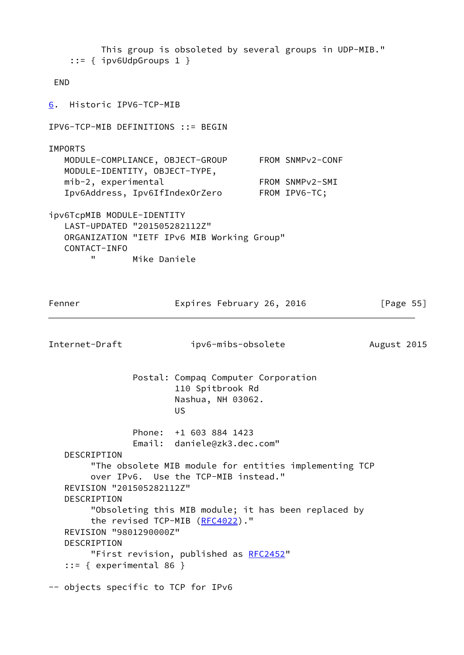<span id="page-62-0"></span> This group is obsoleted by several groups in UDP-MIB." ::= { ipv6UdpGroups 1 } END [6](#page-62-0). Historic IPV6-TCP-MIB IPV6-TCP-MIB DEFINITIONS ::= BEGIN **TMPORTS**  MODULE-COMPLIANCE, OBJECT-GROUP FROM SNMPv2-CONF MODULE-IDENTITY, OBJECT-TYPE, mib-2, experimental FROM SNMPv2-SMI Ipv6Address, Ipv6IfIndexOrZero FROM IPV6-TC; ipv6TcpMIB MODULE-IDENTITY LAST-UPDATED "201505282112Z" ORGANIZATION "IETF IPv6 MIB Working Group" CONTACT-INFO " Mike Daniele Fenner Expires February 26, 2016 [Page 55] Internet-Draft ipv6-mibs-obsolete August 2015 Postal: Compaq Computer Corporation 110 Spitbrook Rd Nashua, NH 03062. **US** *US US*  Phone: +1 603 884 1423 Email: daniele@zk3.dec.com" DESCRIPTION "The obsolete MIB module for entities implementing TCP over IPv6. Use the TCP-MIB instead." REVISION "201505282112Z" DESCRIPTION "Obsoleting this MIB module; it has been replaced by the revised TCP-MIB [\(RFC4022](https://datatracker.ietf.org/doc/pdf/rfc4022))." REVISION "9801290000Z" DESCRIPTION "First revision, published as [RFC2452](https://datatracker.ietf.org/doc/pdf/rfc2452)"  $::=$  { experimental 86 } -- objects specific to TCP for IPv6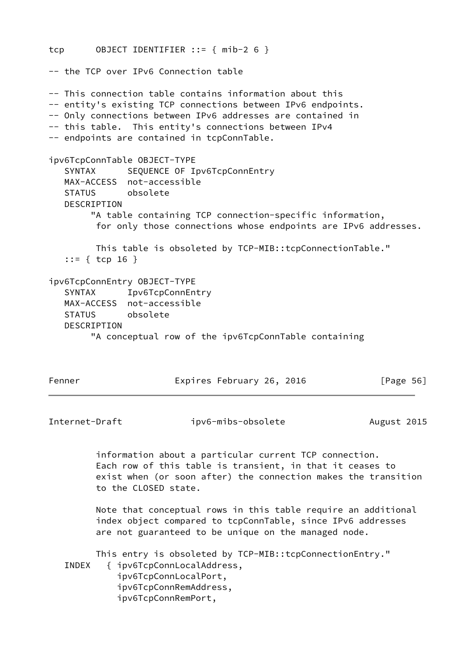```
tcp OBJECT IDENTIFIER ::= { mib-2 6 }
-- the TCP over IPv6 Connection table
-- This connection table contains information about this
-- entity's existing TCP connections between IPv6 endpoints.
-- Only connections between IPv6 addresses are contained in
-- this table. This entity's connections between IPv4
-- endpoints are contained in tcpConnTable.
ipv6TcpConnTable OBJECT-TYPE
   SYNTAX SEQUENCE OF Ipv6TcpConnEntry
   MAX-ACCESS not-accessible
   STATUS obsolete
   DESCRIPTION
         "A table containing TCP connection-specific information,
         for only those connections whose endpoints are IPv6 addresses.
         This table is obsoleted by TCP-MIB::tcpConnectionTable."
    ::= { tcp 16 }
ipv6TcpConnEntry OBJECT-TYPE
    SYNTAX Ipv6TcpConnEntry
   MAX-ACCESS not-accessible
   STATUS obsolete
   DESCRIPTION
         "A conceptual row of the ipv6TcpConnTable containing
Fenner Expires February 26, 2016 [Page 56]
Internet-Draft ipv6-mibs-obsolete August 2015
         information about a particular current TCP connection.
         Each row of this table is transient, in that it ceases to
         exist when (or soon after) the connection makes the transition
         to the CLOSED state.
         Note that conceptual rows in this table require an additional
         index object compared to tcpConnTable, since IPv6 addresses
         are not guaranteed to be unique on the managed node.
         This entry is obsoleted by TCP-MIB::tcpConnectionEntry."
    INDEX { ipv6TcpConnLocalAddress,
             ipv6TcpConnLocalPort,
             ipv6TcpConnRemAddress,
             ipv6TcpConnRemPort,
```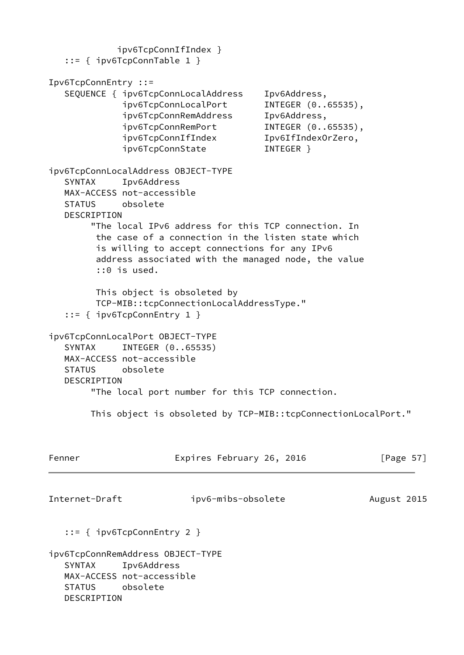ipv6TcpConnIfIndex } ::= { ipv6TcpConnTable 1 } Ipv6TcpConnEntry ::= SEQUENCE { ipv6TcpConnLocalAddress Ipv6Address, ipv6TcpConnLocalPort INTEGER (0..65535), ipv6TcpConnRemAddress Ipv6Address, ipv6TcpConnRemPort INTEGER (0..65535), ipv6TcpConnIfIndex Ipv6IfIndexOrZero, ipv6TcpConnState INTEGER } ipv6TcpConnLocalAddress OBJECT-TYPE SYNTAX Ipv6Address MAX-ACCESS not-accessible STATUS obsolete DESCRIPTION "The local IPv6 address for this TCP connection. In the case of a connection in the listen state which is willing to accept connections for any IPv6 address associated with the managed node, the value ::0 is used. This object is obsoleted by TCP-MIB::tcpConnectionLocalAddressType." ::= { ipv6TcpConnEntry 1 } ipv6TcpConnLocalPort OBJECT-TYPE SYNTAX INTEGER (0..65535) MAX-ACCESS not-accessible STATUS obsolete DESCRIPTION "The local port number for this TCP connection. This object is obsoleted by TCP-MIB::tcpConnectionLocalPort." Fenner Expires February 26, 2016 [Page 57] Internet-Draft ipv6-mibs-obsolete August 2015 ::= { ipv6TcpConnEntry 2 } ipv6TcpConnRemAddress OBJECT-TYPE SYNTAX Ipv6Address MAX-ACCESS not-accessible STATUS obsolete DESCRIPTION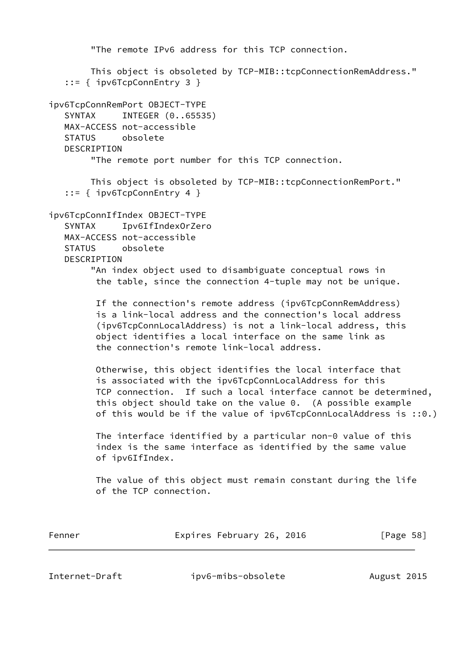```
 "The remote IPv6 address for this TCP connection.
        This object is obsoleted by TCP-MIB::tcpConnectionRemAddress."
    ::= { ipv6TcpConnEntry 3 }
ipv6TcpConnRemPort OBJECT-TYPE
   SYNTAX INTEGER (0..65535)
   MAX-ACCESS not-accessible
   STATUS obsolete
   DESCRIPTION
         "The remote port number for this TCP connection.
        This object is obsoleted by TCP-MIB::tcpConnectionRemPort."
    ::= { ipv6TcpConnEntry 4 }
ipv6TcpConnIfIndex OBJECT-TYPE
    SYNTAX Ipv6IfIndexOrZero
   MAX-ACCESS not-accessible
   STATUS obsolete
   DESCRIPTION
         "An index object used to disambiguate conceptual rows in
         the table, since the connection 4-tuple may not be unique.
          If the connection's remote address (ipv6TcpConnRemAddress)
          is a link-local address and the connection's local address
          (ipv6TcpConnLocalAddress) is not a link-local address, this
          object identifies a local interface on the same link as
          the connection's remote link-local address.
         Otherwise, this object identifies the local interface that
          is associated with the ipv6TcpConnLocalAddress for this
          TCP connection. If such a local interface cannot be determined,
          this object should take on the value 0. (A possible example
         of this would be if the value of ipv6TcpConnLocalAddress is ::0.)
          The interface identified by a particular non-0 value of this
          index is the same interface as identified by the same value
         of ipv6IfIndex.
          The value of this object must remain constant during the life
          of the TCP connection.
Fenner Expires February 26, 2016 [Page 58]
```
Internet-Draft ipv6-mibs-obsolete August 2015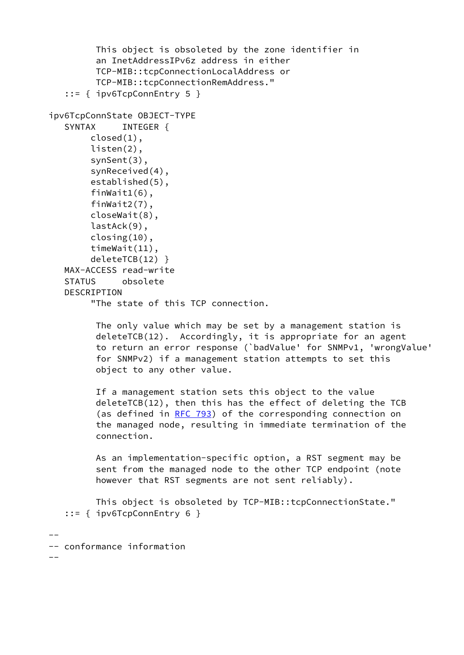```
 This object is obsoleted by the zone identifier in
          an InetAddressIPv6z address in either
          TCP-MIB::tcpConnectionLocalAddress or
          TCP-MIB::tcpConnectionRemAddress."
    ::= { ipv6TcpConnEntry 5 }
ipv6TcpConnState OBJECT-TYPE
    SYNTAX INTEGER {
         closed(1),
         listen(2),
         synSent(3),
         synReceived(4),
         established(5),
         finWait1(6),
         finWait2(7),
         closeWait(8),
         lastAck(9),
         closing(10),
         timeWait(11),
         deleteTCB(12) }
    MAX-ACCESS read-write
    STATUS obsolete
    DESCRIPTION
         "The state of this TCP connection.
          The only value which may be set by a management station is
          deleteTCB(12). Accordingly, it is appropriate for an agent
          to return an error response (`badValue' for SNMPv1, 'wrongValue'
          for SNMPv2) if a management station attempts to set this
          object to any other value.
          If a management station sets this object to the value
          deleteTCB(12), then this has the effect of deleting the TCB
          (as defined in RFC 793) of the corresponding connection on
          the managed node, resulting in immediate termination of the
          connection.
          As an implementation-specific option, a RST segment may be
          sent from the managed node to the other TCP endpoint (note
          however that RST segments are not sent reliably).
          This object is obsoleted by TCP-MIB::tcpConnectionState."
    ::= { ipv6TcpConnEntry 6 }
--
-- conformance information
-
```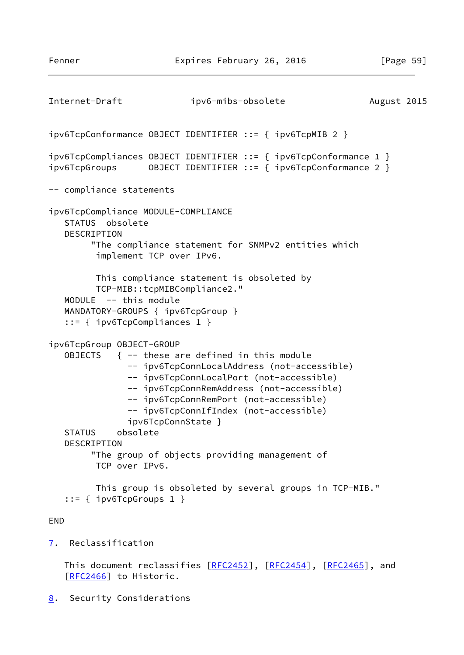```
Internet-Draft ipv6-mibs-obsolete August 2015
ipv6TcpConformance OBJECT IDENTIFIER ::= { ipv6TcpMIB 2 }
ipv6TcpCompliances OBJECT IDENTIFIER ::= { ipv6TcpConformance 1 }
ipv6TcpGroups OBJECT IDENTIFIER ::= { ipv6TcpConformance 2 }
-- compliance statements
ipv6TcpCompliance MODULE-COMPLIANCE
    STATUS obsolete
   DESCRIPTION
         "The compliance statement for SNMPv2 entities which
         implement TCP over IPv6.
         This compliance statement is obsoleted by
         TCP-MIB::tcpMIBCompliance2."
   MODULE -- this module
   MANDATORY-GROUPS { ipv6TcpGroup }
    ::= { ipv6TcpCompliances 1 }
ipv6TcpGroup OBJECT-GROUP
  OBJECTS \{ -- these are defined in this module
               -- ipv6TcpConnLocalAddress (not-accessible)
               -- ipv6TcpConnLocalPort (not-accessible)
               -- ipv6TcpConnRemAddress (not-accessible)
               -- ipv6TcpConnRemPort (not-accessible)
               -- ipv6TcpConnIfIndex (not-accessible)
               ipv6TcpConnState }
   STATUS obsolete
   DESCRIPTION
         "The group of objects providing management of
         TCP over IPv6.
         This group is obsoleted by several groups in TCP-MIB."
    ::= { ipv6TcpGroups 1 }
END
7. Reclassification
  RFC2452]RFC2454[RFC2465], and
    [RFC2466] to Historic.
```
<span id="page-67-1"></span><span id="page-67-0"></span>[8](#page-67-1). Security Considerations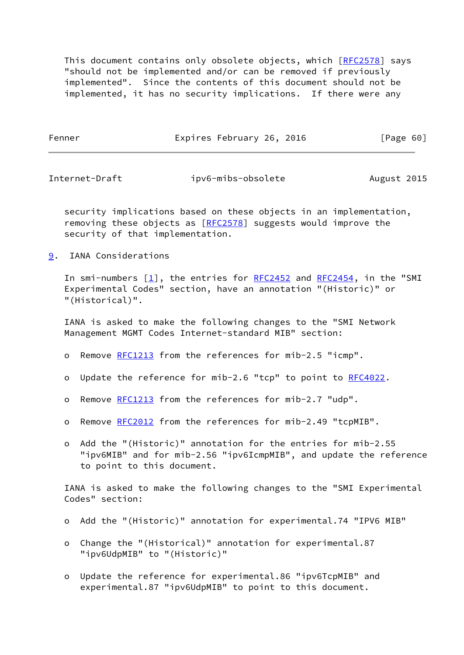This document contains only obsolete objects, which [\[RFC2578](https://datatracker.ietf.org/doc/pdf/rfc2578)] says "should not be implemented and/or can be removed if previously implemented". Since the contents of this document should not be implemented, it has no security implications. If there were any

Fenner **Expires February 26, 2016** [Page 60]

Internet-Draft ipv6-mibs-obsolete August 2015

 security implications based on these objects in an implementation, removing these objects as [[RFC2578](https://datatracker.ietf.org/doc/pdf/rfc2578)] suggests would improve the security of that implementation.

<span id="page-68-0"></span>[9](#page-68-0). IANA Considerations

In smi-numbers  $[1]$  $[1]$ , the entries for [RFC2452](https://datatracker.ietf.org/doc/pdf/rfc2452) and [RFC2454](https://datatracker.ietf.org/doc/pdf/rfc2454), in the "SMI Experimental Codes" section, have an annotation "(Historic)" or "(Historical)".

 IANA is asked to make the following changes to the "SMI Network Management MGMT Codes Internet-standard MIB" section:

- o Remove [RFC1213](https://datatracker.ietf.org/doc/pdf/rfc1213) from the references for mib-2.5 "icmp".
- o Update the reference for mib-2.6 "tcp" to point to [RFC4022](https://datatracker.ietf.org/doc/pdf/rfc4022).
- o Remove [RFC1213](https://datatracker.ietf.org/doc/pdf/rfc1213) from the references for mib-2.7 "udp".
- o Remove [RFC2012](https://datatracker.ietf.org/doc/pdf/rfc2012) from the references for mib-2.49 "tcpMIB".
- o Add the "(Historic)" annotation for the entries for mib-2.55 "ipv6MIB" and for mib-2.56 "ipv6IcmpMIB", and update the reference to point to this document.

 IANA is asked to make the following changes to the "SMI Experimental Codes" section:

- o Add the "(Historic)" annotation for experimental.74 "IPV6 MIB"
- o Change the "(Historical)" annotation for experimental.87 "ipv6UdpMIB" to "(Historic)"
- o Update the reference for experimental.86 "ipv6TcpMIB" and experimental.87 "ipv6UdpMIB" to point to this document.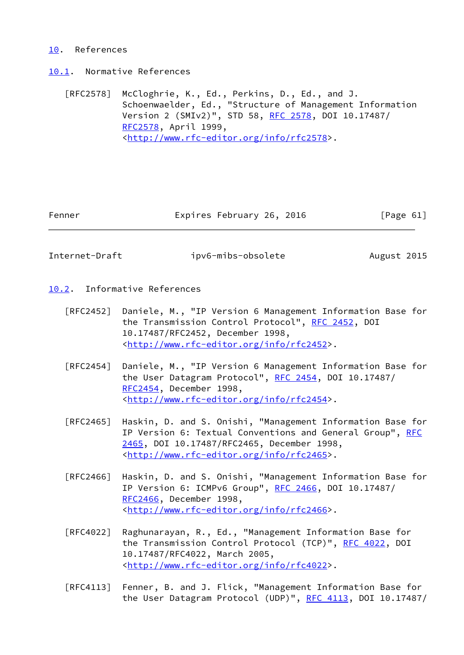## <span id="page-69-0"></span>[10.](#page-69-0) References

<span id="page-69-1"></span>[10.1](#page-69-1). Normative References

 [RFC2578] McCloghrie, K., Ed., Perkins, D., Ed., and J. Schoenwaelder, Ed., "Structure of Management Information Version 2 (SMIv2)", STD 58, [RFC 2578,](https://datatracker.ietf.org/doc/pdf/rfc2578) DOI 10.17487/ [RFC2578](https://datatracker.ietf.org/doc/pdf/rfc2578), April 1999, <<http://www.rfc-editor.org/info/rfc2578>>.

Fenner Expires February 26, 2016 [Page 61]

Internet-Draft ipv6-mibs-obsolete August 2015

- <span id="page-69-2"></span>[10.2](#page-69-2). Informative References
	- [RFC2452] Daniele, M., "IP Version 6 Management Information Base for the Transmission Control Protocol", [RFC 2452,](https://datatracker.ietf.org/doc/pdf/rfc2452) DOI 10.17487/RFC2452, December 1998, <<http://www.rfc-editor.org/info/rfc2452>>.
	- [RFC2454] Daniele, M., "IP Version 6 Management Information Base for the User Datagram Protocol", [RFC 2454](https://datatracker.ietf.org/doc/pdf/rfc2454), DOI 10.17487/ [RFC2454](https://datatracker.ietf.org/doc/pdf/rfc2454), December 1998, <<http://www.rfc-editor.org/info/rfc2454>>.
	- [RFC2465] Haskin, D. and S. Onishi, "Management Information Base for IP Version 6: Textual Conventions and General Group", [RFC](https://datatracker.ietf.org/doc/pdf/rfc2465) [2465,](https://datatracker.ietf.org/doc/pdf/rfc2465) DOI 10.17487/RFC2465, December 1998, <<http://www.rfc-editor.org/info/rfc2465>>.
	- [RFC2466] Haskin, D. and S. Onishi, "Management Information Base for IP Version 6: ICMPv6 Group", [RFC 2466](https://datatracker.ietf.org/doc/pdf/rfc2466), DOI 10.17487/ [RFC2466](https://datatracker.ietf.org/doc/pdf/rfc2466), December 1998, <<http://www.rfc-editor.org/info/rfc2466>>.
	- [RFC4022] Raghunarayan, R., Ed., "Management Information Base for the Transmission Control Protocol (TCP)", [RFC 4022](https://datatracker.ietf.org/doc/pdf/rfc4022), DOI 10.17487/RFC4022, March 2005, <<http://www.rfc-editor.org/info/rfc4022>>.
	- [RFC4113] Fenner, B. and J. Flick, "Management Information Base for the User Datagram Protocol (UDP)", [RFC 4113](https://datatracker.ietf.org/doc/pdf/rfc4113), DOI 10.17487/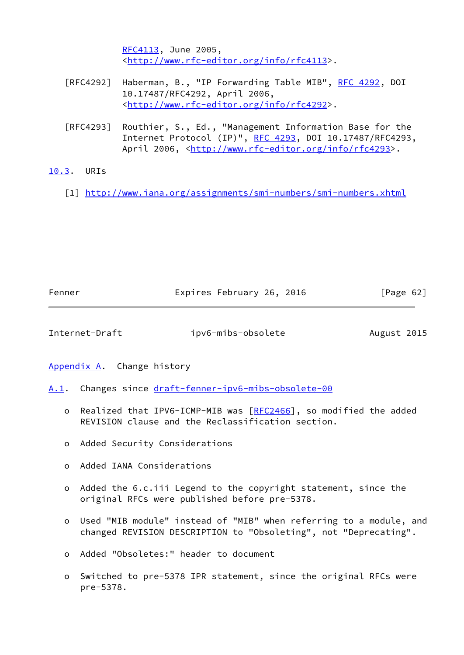[RFC4113](https://datatracker.ietf.org/doc/pdf/rfc4113), June 2005, <<http://www.rfc-editor.org/info/rfc4113>>.

- [RFC4292] Haberman, B., "IP Forwarding Table MIB", [RFC 4292,](https://datatracker.ietf.org/doc/pdf/rfc4292) DOI 10.17487/RFC4292, April 2006, <<http://www.rfc-editor.org/info/rfc4292>>.
- [RFC4293] Routhier, S., Ed., "Management Information Base for the Internet Protocol (IP)", [RFC 4293,](https://datatracker.ietf.org/doc/pdf/rfc4293) DOI 10.17487/RFC4293, April 2006, [<http://www.rfc-editor.org/info/rfc4293](http://www.rfc-editor.org/info/rfc4293)>.

## <span id="page-70-1"></span>[10.3](#page-70-1). URIs

<span id="page-70-0"></span>[1] <http://www.iana.org/assignments/smi-numbers/smi-numbers.xhtml>

| Fenner | Expires February 26, 2016 | [Page 62] |
|--------|---------------------------|-----------|
|        |                           |           |

Internet-Draft ipv6-mibs-obsolete August 2015

<span id="page-70-2"></span>[Appendix A.](#page-70-2) Change history

<span id="page-70-3"></span>[A.1](#page-70-3). Changes since [draft-fenner-ipv6-mibs-obsolete-00](https://datatracker.ietf.org/doc/pdf/draft-fenner-ipv6-mibs-obsolete-00)

- o Realized that IPV6-ICMP-MIB was [[RFC2466\]](https://datatracker.ietf.org/doc/pdf/rfc2466), so modified the added REVISION clause and the Reclassification section.
- o Added Security Considerations
- o Added IANA Considerations
- o Added the 6.c.iii Legend to the copyright statement, since the original RFCs were published before pre-5378.
- o Used "MIB module" instead of "MIB" when referring to a module, and changed REVISION DESCRIPTION to "Obsoleting", not "Deprecating".
- o Added "Obsoletes:" header to document
- o Switched to pre-5378 IPR statement, since the original RFCs were pre-5378.